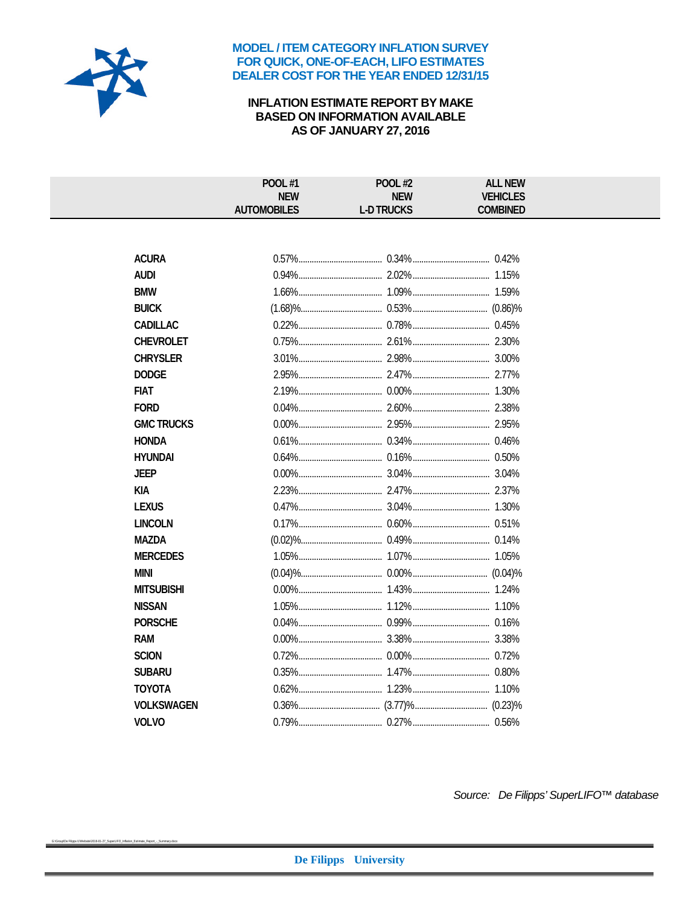

#### **MODEL / ITEM CATEGORY INFLATION SURVEY** FOR QUICK, ONE-OF-EACH, LIFO ESTIMATES **DEALER COST FOR THE YEAR ENDED 12/31/15**

#### **INFLATION ESTIMATE REPORT BY MAKE BASED ON INFORMATION AVAILABLE** AS OF JANUARY 27, 2016

|                   | <b>POOL #1</b><br><b>NEW</b><br><b>AUTOMOBILES</b> | <b>POOL #2</b><br><b>NEW</b><br><b>L-D TRUCKS</b> | <b>ALL NEW</b><br><b>VEHICLES</b><br><b>COMBINED</b> |  |
|-------------------|----------------------------------------------------|---------------------------------------------------|------------------------------------------------------|--|
|                   |                                                    |                                                   |                                                      |  |
|                   |                                                    |                                                   |                                                      |  |
| <b>ACURA</b>      |                                                    |                                                   | 0.42%                                                |  |
| <b>AUDI</b>       |                                                    |                                                   | 1.15%                                                |  |
| <b>BMW</b>        |                                                    |                                                   |                                                      |  |
| <b>BUICK</b>      |                                                    |                                                   |                                                      |  |
| <b>CADILLAC</b>   |                                                    |                                                   | 0.45%                                                |  |
| <b>CHEVROLET</b>  |                                                    |                                                   | 2.30%                                                |  |
| <b>CHRYSLER</b>   |                                                    |                                                   | 3.00%                                                |  |
| <b>DODGE</b>      |                                                    |                                                   | 2.77%                                                |  |
| <b>FIAT</b>       |                                                    |                                                   |                                                      |  |
| <b>FORD</b>       |                                                    |                                                   |                                                      |  |
| <b>GMC TRUCKS</b> |                                                    |                                                   | 2.95%                                                |  |
| <b>HONDA</b>      |                                                    |                                                   |                                                      |  |
| <b>HYUNDAI</b>    |                                                    |                                                   | 0.50%                                                |  |
| <b>JEEP</b>       |                                                    |                                                   | 3.04%                                                |  |
| <b>KIA</b>        |                                                    |                                                   | 2.37%                                                |  |
| <b>LEXUS</b>      |                                                    |                                                   |                                                      |  |
| <b>LINCOLN</b>    |                                                    |                                                   |                                                      |  |
| <b>MAZDA</b>      |                                                    |                                                   |                                                      |  |
| <b>MERCEDES</b>   |                                                    |                                                   |                                                      |  |
| <b>MINI</b>       |                                                    |                                                   |                                                      |  |
| <b>MITSUBISHI</b> |                                                    |                                                   |                                                      |  |
| <b>NISSAN</b>     |                                                    |                                                   |                                                      |  |
| <b>PORSCHE</b>    |                                                    |                                                   | 0.16%                                                |  |
| <b>RAM</b>        |                                                    |                                                   | 3.38%                                                |  |
| <b>SCION</b>      |                                                    |                                                   |                                                      |  |
| <b>SUBARU</b>     |                                                    |                                                   | 0.80%                                                |  |
| <b>TOYOTA</b>     |                                                    |                                                   |                                                      |  |
| <b>VOLKSWAGEN</b> |                                                    |                                                   |                                                      |  |
| <b>VOLVO</b>      |                                                    |                                                   |                                                      |  |

Source: De Filipps' SuperLIFO<sup>TM</sup> database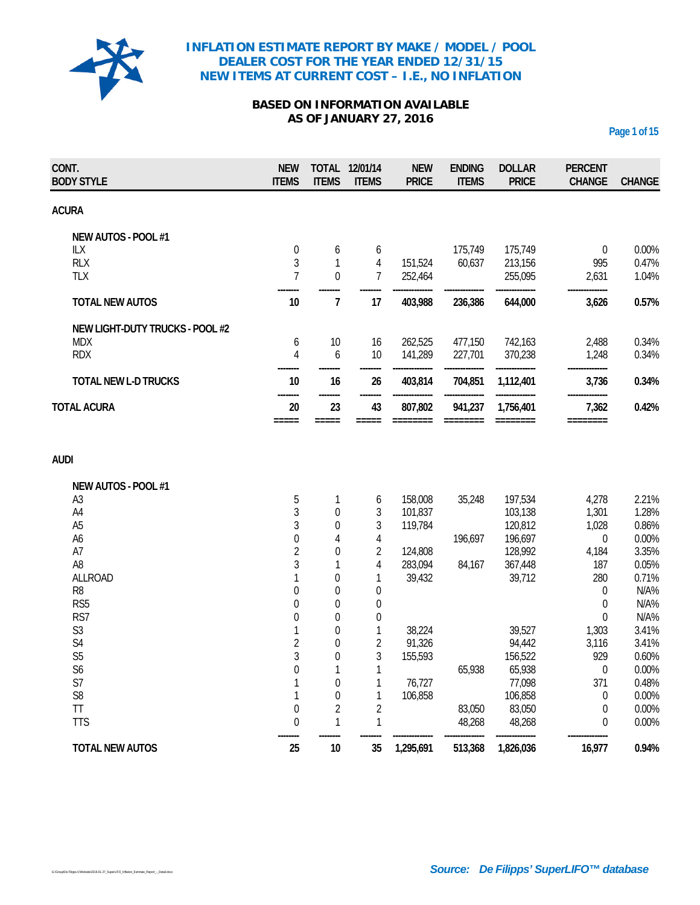

# **BASED ON INFORMATION AVAILABLE AS OF JANUARY 27, 2016**

**Page 1 of 15**

| CONT.<br><b>BODY STYLE</b>      | <b>NEW</b><br><b>ITEMS</b>       | <b>ITEMS</b>                       | TOTAL 12/01/14<br><b>ITEMS</b> | <b>NEW</b><br><b>PRICE</b>                                              | <b>ENDING</b><br><b>ITEMS</b> | <b>DOLLAR</b><br><b>PRICE</b> | <b>PERCENT</b><br><b>CHANGE</b> | <b>CHANGE</b>      |
|---------------------------------|----------------------------------|------------------------------------|--------------------------------|-------------------------------------------------------------------------|-------------------------------|-------------------------------|---------------------------------|--------------------|
| <b>ACURA</b>                    |                                  |                                    |                                |                                                                         |                               |                               |                                 |                    |
| NEW AUTOS - POOL #1             |                                  |                                    |                                |                                                                         |                               |                               |                                 |                    |
| <b>ILX</b>                      | $\boldsymbol{0}$                 | 6                                  | 6                              |                                                                         | 175,749                       | 175,749                       | $\mathbf 0$                     | 0.00%              |
| <b>RLX</b>                      | 3                                | 1                                  | 4                              | 151,524                                                                 | 60,637                        | 213,156                       | 995                             | 0.47%              |
| <b>TLX</b>                      | $\overline{7}$                   | $\overline{0}$                     | $\overline{7}$                 | 252,464                                                                 |                               | 255,095                       | 2,631                           | 1.04%              |
| <b>TOTAL NEW AUTOS</b>          | 10                               | $\overline{7}$                     | 17                             | 403,988                                                                 | 236,386                       | 644,000                       | 3,626                           | 0.57%              |
| NEW LIGHT-DUTY TRUCKS - POOL #2 |                                  |                                    |                                |                                                                         |                               |                               |                                 |                    |
| <b>MDX</b>                      | 6                                | 10                                 | 16                             | 262,525                                                                 | 477,150                       | 742,163                       | 2,488                           | 0.34%              |
| <b>RDX</b>                      | $\overline{4}$                   | 6                                  | 10                             | 141,289                                                                 | 227,701                       | 370,238                       | 1,248                           | 0.34%              |
| TOTAL NEW L-D TRUCKS            | 10                               | 16                                 | 26                             | 403,814                                                                 | 704,851                       | 1,112,401                     | 3,736                           | 0.34%              |
| <b>TOTAL ACURA</b>              | 20                               | 23                                 | 43                             | 807,802                                                                 | 941,237                       | 1,756,401                     | 7,362                           | 0.42%              |
|                                 | =====                            | =====                              | =====                          | $\qquad \qquad \equiv \equiv \equiv \equiv \equiv \equiv \equiv \equiv$ | ========                      | ========                      | ========                        |                    |
| <b>AUDI</b>                     |                                  |                                    |                                |                                                                         |                               |                               |                                 |                    |
| NEW AUTOS - POOL #1             |                                  |                                    |                                |                                                                         |                               |                               |                                 |                    |
| A <sub>3</sub>                  | $\sqrt{5}$                       | 1                                  | 6                              | 158,008                                                                 | 35,248                        | 197,534                       | 4,278                           | 2.21%              |
| A4                              | 3                                | $\boldsymbol{0}$                   | 3                              | 101,837                                                                 |                               | 103,138                       | 1,301                           | 1.28%              |
| A <sub>5</sub>                  | 3                                | $\boldsymbol{0}$                   | 3                              | 119,784                                                                 |                               | 120,812                       | 1,028                           | 0.86%              |
| A6                              | $\boldsymbol{0}$                 | $\overline{4}$                     | $\overline{4}$                 |                                                                         | 196,697                       | 196,697                       | $\boldsymbol{0}$                | 0.00%              |
| A7                              | $\overline{2}$                   | $\mathbf 0$                        | $\overline{2}$                 | 124,808                                                                 |                               | 128,992                       | 4,184                           | 3.35%              |
| A <sub>8</sub>                  | 3                                | 1                                  | $\overline{4}$                 | 283,094                                                                 | 84,167                        | 367,448                       | 187                             | 0.05%              |
| <b>ALLROAD</b>                  | 1                                | $\mathbf 0$                        | 1                              | 39,432                                                                  |                               | 39,712                        | 280                             | 0.71%              |
| R <sub>8</sub>                  | $\boldsymbol{0}$                 | $\mathbf 0$                        | 0                              |                                                                         |                               |                               | 0                               | N/A%               |
| RS <sub>5</sub><br>RS7          | $\boldsymbol{0}$<br>$\mathbf{0}$ | $\boldsymbol{0}$                   | $\boldsymbol{0}$               |                                                                         |                               |                               | $\boldsymbol{0}$                | $N/A\%$<br>$N/A\%$ |
| S3                              | $\mathbf{1}$                     | $\boldsymbol{0}$<br>$\overline{0}$ | $\mathbf 0$                    | 38,224                                                                  |                               | 39,527                        | 0                               | 3.41%              |
| S <sub>4</sub>                  | $\overline{2}$                   | $\mathbf 0$                        | 1<br>$\overline{2}$            | 91,326                                                                  |                               | 94,442                        | 1,303                           | 3.41%              |
| S <sub>5</sub>                  | 3                                | $\mathbf 0$                        | 3                              | 155,593                                                                 |                               | 156,522                       | 3,116<br>929                    | 0.60%              |
| S <sub>6</sub>                  | $\overline{0}$                   | 1                                  | $\mathbf{1}$                   |                                                                         |                               |                               |                                 |                    |
| S7                              | 1                                | $\mathbf 0$                        | $\mathbf{1}$                   | 76,727                                                                  | 65,938                        | 65,938<br>77,098              | 0<br>371                        | 0.00%<br>0.48%     |
| S <sub>8</sub>                  | 1                                | 0                                  | $\mathbf{1}$                   | 106,858                                                                 |                               | 106,858                       | $\boldsymbol{0}$                | 0.00%              |
| T                               | $\boldsymbol{0}$                 | $\overline{2}$                     | $\overline{2}$                 |                                                                         | 83,050                        | 83,050                        | $\boldsymbol{0}$                | 0.00%              |
| <b>TTS</b>                      | $\mathbf 0$                      | 1                                  | $\mathbf{1}$                   |                                                                         | 48,268                        | 48,268                        | 0                               | 0.00%              |
| <b>TOTAL NEW AUTOS</b>          | 25                               | 10                                 | 35                             | 1,295,691                                                               | 513,368                       | 1,826,036                     | 16,977                          | 0.94%              |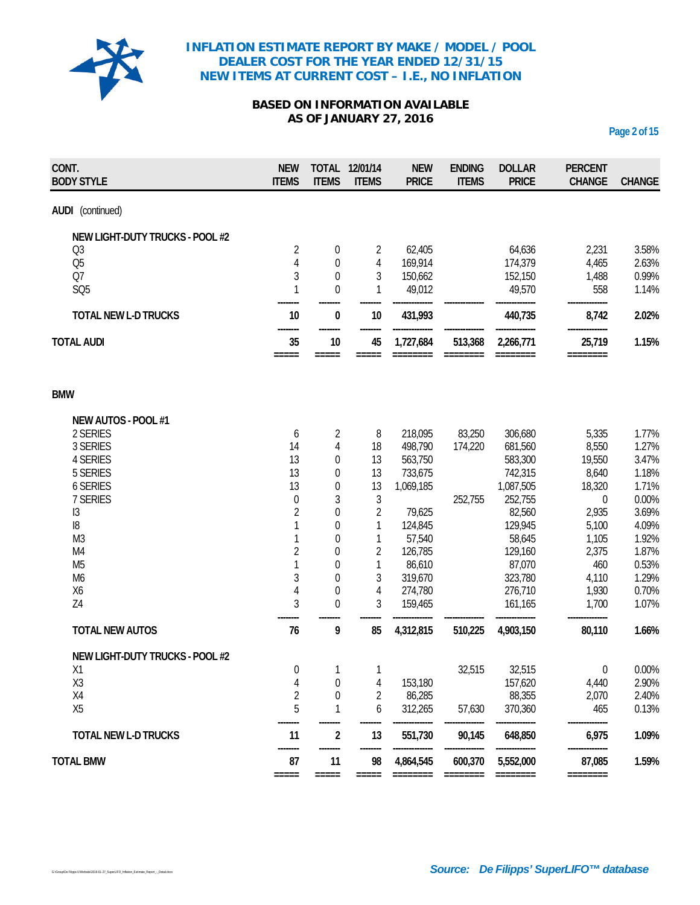

# **BASED ON INFORMATION AVAILABLE AS OF JANUARY 27, 2016**

**Page 2 of 15**

| 2<br>4<br>3<br>1<br>10<br>35<br>=====<br>6 | 0<br>0<br>$\mathbf 0$<br>$\theta$<br>0<br>10<br>=====                                | 2<br>4<br>3<br>1<br>10<br>45<br>===== | 62,405<br>169,914<br>150,662<br>49,012<br>431,993<br>1,727,684 | 513,368<br>======== | 64,636<br>174,379<br>152,150<br>49,570<br>440,735<br>2,266,771<br>======== | 2,231<br>4,465<br>1,488<br>558<br>8,742<br>25,719<br>========  | 3.58%<br>2.63%<br>0.99%<br>1.14%<br>2.02%<br>1.15% |
|--------------------------------------------|--------------------------------------------------------------------------------------|---------------------------------------|----------------------------------------------------------------|---------------------|----------------------------------------------------------------------------|----------------------------------------------------------------|----------------------------------------------------|
|                                            |                                                                                      |                                       |                                                                |                     |                                                                            |                                                                |                                                    |
|                                            |                                                                                      |                                       |                                                                |                     |                                                                            |                                                                |                                                    |
|                                            |                                                                                      |                                       |                                                                |                     |                                                                            |                                                                |                                                    |
|                                            |                                                                                      |                                       |                                                                |                     |                                                                            |                                                                |                                                    |
|                                            |                                                                                      |                                       |                                                                |                     |                                                                            |                                                                |                                                    |
|                                            |                                                                                      |                                       |                                                                |                     |                                                                            |                                                                |                                                    |
|                                            |                                                                                      |                                       |                                                                |                     |                                                                            |                                                                |                                                    |
|                                            |                                                                                      |                                       |                                                                |                     |                                                                            |                                                                |                                                    |
|                                            |                                                                                      |                                       |                                                                |                     |                                                                            |                                                                |                                                    |
|                                            |                                                                                      |                                       |                                                                |                     |                                                                            |                                                                |                                                    |
|                                            |                                                                                      |                                       |                                                                |                     |                                                                            |                                                                |                                                    |
|                                            | 2                                                                                    | 8                                     | 218,095                                                        | 83,250              | 306,680                                                                    | 5,335                                                          | 1.77%                                              |
| 14                                         | 4                                                                                    | 18                                    | 498,790                                                        | 174,220             | 681,560                                                                    | 8,550                                                          | 1.27%                                              |
|                                            | $\boldsymbol{0}$                                                                     |                                       | 563,750                                                        |                     | 583,300                                                                    | 19,550                                                         | 3.47%                                              |
|                                            | 0                                                                                    |                                       | 733,675                                                        |                     | 742,315                                                                    | 8,640                                                          | 1.18%                                              |
|                                            | $\boldsymbol{0}$                                                                     |                                       | 1,069,185                                                      |                     |                                                                            |                                                                | 1.71%                                              |
|                                            |                                                                                      |                                       |                                                                |                     |                                                                            | 0                                                              | 0.00%                                              |
|                                            | $\mathbf 0$                                                                          |                                       | 79,625                                                         |                     |                                                                            |                                                                | 3.69%                                              |
| 1                                          | 0                                                                                    | 1                                     | 124,845                                                        |                     |                                                                            | 5,100                                                          | 4.09%                                              |
| 1                                          | 0                                                                                    | $\mathbf{1}$                          | 57,540                                                         |                     | 58,645                                                                     | 1,105                                                          | 1.92%                                              |
| $\overline{2}$                             | 0                                                                                    | $\overline{2}$                        | 126,785                                                        |                     | 129,160                                                                    | 2,375                                                          | 1.87%                                              |
| 1                                          | 0                                                                                    | 1                                     | 86,610                                                         |                     | 87,070                                                                     | 460                                                            | 0.53%                                              |
| 3                                          | 0                                                                                    | 3                                     | 319,670                                                        |                     | 323,780                                                                    | 4,110                                                          | 1.29%                                              |
| 4                                          | 0                                                                                    | 4                                     | 274,780                                                        |                     | 276,710                                                                    | 1,930                                                          | 0.70%                                              |
| 3                                          | $\Omega$                                                                             | 3                                     | 159,465                                                        |                     | 161,165                                                                    | 1,700                                                          | 1.07%                                              |
| 76                                         | 9                                                                                    | 85                                    | 4,312,815                                                      | 510,225             | 4,903,150                                                                  | 80,110                                                         | 1.66%                                              |
|                                            |                                                                                      |                                       |                                                                |                     |                                                                            |                                                                |                                                    |
| 0                                          | 1                                                                                    | 1                                     |                                                                | 32,515              | 32,515                                                                     | 0                                                              | 0.00%                                              |
|                                            | 0                                                                                    | 4                                     |                                                                |                     |                                                                            |                                                                | 2.90%                                              |
|                                            | 0                                                                                    |                                       |                                                                |                     |                                                                            |                                                                | 2.40%                                              |
| 5                                          |                                                                                      | 6                                     | 312,265                                                        | 57,630              | 370,360                                                                    | 465                                                            | 0.13%                                              |
| 11                                         | 2                                                                                    | 13                                    | 551,730                                                        | 90,145              | 648,850                                                                    | 6,975                                                          | 1.09%                                              |
| 87                                         | 11                                                                                   | 98                                    | 4,864,545                                                      | 600,370             | 5,552,000                                                                  | 87,085                                                         | 1.59%                                              |
|                                            | 13<br>13<br>13<br>$\boldsymbol{0}$<br>$\overline{2}$<br>4<br>$\overline{c}$<br>===== | 3<br>=====                            | 13<br>13<br>13<br>$\sqrt{3}$<br>$\overline{2}$<br>2            | 153,180<br>86,285   | 252,755                                                                    | 1,087,505<br>252,755<br>82,560<br>129,945<br>157,620<br>88,355 | 18,320<br>2,935<br>4,440<br>2,070<br>========      |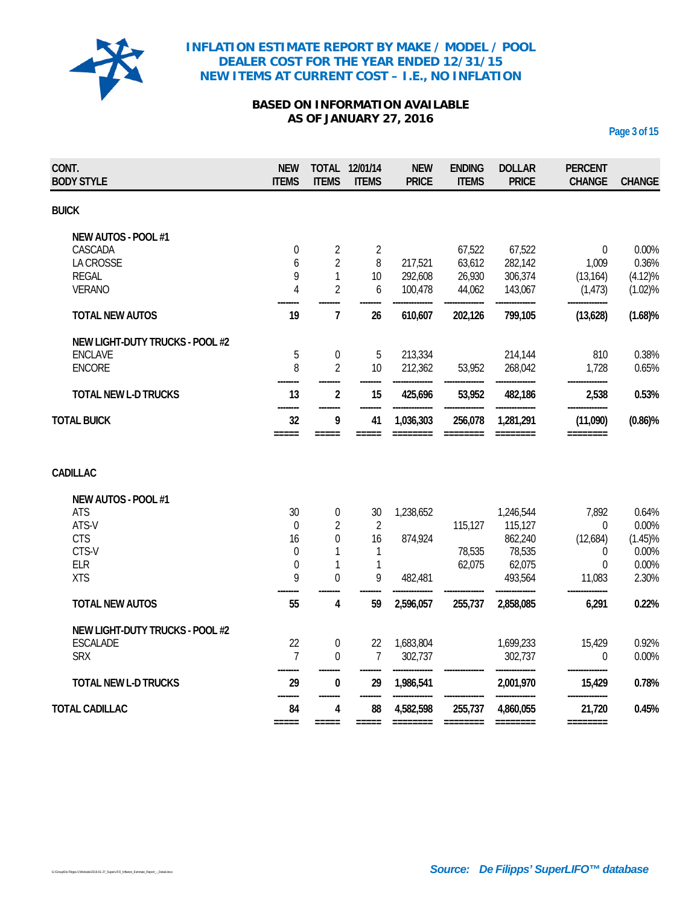

# **BASED ON INFORMATION AVAILABLE AS OF JANUARY 27, 2016**

**Page 3 of 15**

| CONT.<br><b>BODY STYLE</b>      | <b>NEW</b><br><b>ITEMS</b> | <b>ITEMS</b>     | TOTAL 12/01/14<br><b>ITEMS</b> | <b>NEW</b><br><b>PRICE</b> | <b>ENDING</b><br><b>ITEMS</b> | <b>DOLLAR</b><br><b>PRICE</b>                                                                                                                                                                                                                                                                                                                                                                                                       | <b>PERCENT</b><br><b>CHANGE</b> | <b>CHANGE</b> |
|---------------------------------|----------------------------|------------------|--------------------------------|----------------------------|-------------------------------|-------------------------------------------------------------------------------------------------------------------------------------------------------------------------------------------------------------------------------------------------------------------------------------------------------------------------------------------------------------------------------------------------------------------------------------|---------------------------------|---------------|
| <b>BUICK</b>                    |                            |                  |                                |                            |                               |                                                                                                                                                                                                                                                                                                                                                                                                                                     |                                 |               |
| <b>NEW AUTOS - POOL #1</b>      |                            |                  |                                |                            |                               |                                                                                                                                                                                                                                                                                                                                                                                                                                     |                                 |               |
| <b>CASCADA</b>                  | $\theta$                   | 2                | 2                              |                            | 67,522                        | 67,522                                                                                                                                                                                                                                                                                                                                                                                                                              | $\Omega$                        | 0.00%         |
| LA CROSSE                       | 6                          | $\overline{2}$   | 8                              | 217,521                    | 63,612                        | 282,142                                                                                                                                                                                                                                                                                                                                                                                                                             | 1,009                           | 0.36%         |
| <b>REGAL</b>                    | 9                          | $\mathbf{1}$     | 10                             | 292,608                    | 26,930                        | 306,374                                                                                                                                                                                                                                                                                                                                                                                                                             | (13, 164)                       | (4.12)%       |
| <b>VERANO</b>                   | $\overline{4}$             | $\overline{2}$   | 6                              | 100,478                    | 44,062                        | 143,067                                                                                                                                                                                                                                                                                                                                                                                                                             | (1, 473)                        | (1.02)%       |
| <b>TOTAL NEW AUTOS</b>          | 19                         | $\overline{7}$   | 26                             | 610,607                    | 202,126                       | 799,105                                                                                                                                                                                                                                                                                                                                                                                                                             | (13,628)                        | (1.68)%       |
| NEW LIGHT-DUTY TRUCKS - POOL #2 |                            |                  |                                |                            |                               |                                                                                                                                                                                                                                                                                                                                                                                                                                     |                                 |               |
| <b>ENCLAVE</b>                  | 5                          | $\boldsymbol{0}$ | 5                              | 213,334                    |                               | 214,144                                                                                                                                                                                                                                                                                                                                                                                                                             | 810                             | 0.38%         |
| <b>ENCORE</b>                   | 8                          | $\overline{2}$   | 10                             | 212,362                    | 53,952                        | 268,042                                                                                                                                                                                                                                                                                                                                                                                                                             | 1,728                           | 0.65%         |
| <b>TOTAL NEW L-D TRUCKS</b>     | 13                         | 2                | 15                             | 425,696                    | 53,952                        | 482,186                                                                                                                                                                                                                                                                                                                                                                                                                             | 2,538                           | 0.53%         |
| <b>TOTAL BUICK</b>              | 32                         | 9                | 41                             | 1,036,303                  | 256,078                       | 1,281,291                                                                                                                                                                                                                                                                                                                                                                                                                           | (11,090)                        | $(0.86)\%$    |
| <b>CADILLAC</b>                 | =====                      | =====            | $=====$                        | ========                   |                               |                                                                                                                                                                                                                                                                                                                                                                                                                                     | ========                        |               |
| NEW AUTOS - POOL #1             |                            |                  |                                |                            |                               |                                                                                                                                                                                                                                                                                                                                                                                                                                     |                                 |               |
| <b>ATS</b>                      | 30                         | 0                | 30                             | 1,238,652                  |                               | 1,246,544                                                                                                                                                                                                                                                                                                                                                                                                                           | 7,892                           | 0.64%         |
| ATS-V                           | $\mathbf 0$                | $\overline{2}$   | $\overline{2}$                 |                            | 115,127                       | 115,127                                                                                                                                                                                                                                                                                                                                                                                                                             | 0                               | 0.00%         |
| <b>CTS</b>                      | 16                         | $\mathbf 0$      | 16                             | 874,924                    |                               | 862,240                                                                                                                                                                                                                                                                                                                                                                                                                             | (12,684)                        | $(1.45)\%$    |
| CTS-V                           | $\theta$                   | 1                | 1                              |                            | 78,535                        | 78,535                                                                                                                                                                                                                                                                                                                                                                                                                              | 0                               | 0.00%         |
| <b>ELR</b>                      | 0                          | $\mathbf{1}$     | $\mathbf{1}$                   |                            | 62,075                        | 62,075                                                                                                                                                                                                                                                                                                                                                                                                                              | $\boldsymbol{0}$                | 0.00%         |
| <b>XTS</b>                      | 9                          | $\mathbf 0$      | 9                              | 482,481                    |                               | 493,564                                                                                                                                                                                                                                                                                                                                                                                                                             | 11,083                          | 2.30%         |
| <b>TOTAL NEW AUTOS</b>          | 55                         | 4                | 59                             | 2,596,057                  | 255,737                       | 2,858,085                                                                                                                                                                                                                                                                                                                                                                                                                           | 6,291                           | 0.22%         |
| NEW LIGHT-DUTY TRUCKS - POOL #2 |                            |                  |                                |                            |                               |                                                                                                                                                                                                                                                                                                                                                                                                                                     |                                 |               |
| <b>ESCALADE</b>                 | 22                         | 0                | 22                             | 1,683,804                  |                               | 1,699,233                                                                                                                                                                                                                                                                                                                                                                                                                           | 15,429                          | 0.92%         |
| <b>SRX</b>                      | $\overline{7}$             | $\Omega$         | $\overline{7}$                 | 302,737                    |                               | 302,737                                                                                                                                                                                                                                                                                                                                                                                                                             | $\Omega$                        | 0.00%         |
| TOTAL NEW L-D TRUCKS            | 29                         | 0                | 29                             | 1,986,541                  |                               | 2,001,970                                                                                                                                                                                                                                                                                                                                                                                                                           | 15,429                          | 0.78%         |
| <b>TOTAL CADILLAC</b>           | 84                         | 4                | 88                             | 4,582,598                  | 255,737                       | 4,860,055                                                                                                                                                                                                                                                                                                                                                                                                                           | 21,720                          | 0.45%         |
|                                 | $=$ $=$ $=$ $=$ $=$        | $=====$          | $=$ $=$ $=$ $=$ $=$            | $=$ =======                | ========                      | $\begin{array}{cccccc} \texttt{m} & \texttt{m} & \texttt{m} & \texttt{m} & \texttt{m} & \texttt{m} & \texttt{m} & \texttt{m} & \texttt{m} & \texttt{m} & \texttt{m} & \texttt{m} & \texttt{m} & \texttt{m} & \texttt{m} & \texttt{m} & \texttt{m} & \texttt{m} & \texttt{m} & \texttt{m} & \texttt{m} & \texttt{m} & \texttt{m} & \texttt{m} & \texttt{m} & \texttt{m} & \texttt{m} & \texttt{m} & \texttt{m} & \texttt{m} & \text$ | ========                        |               |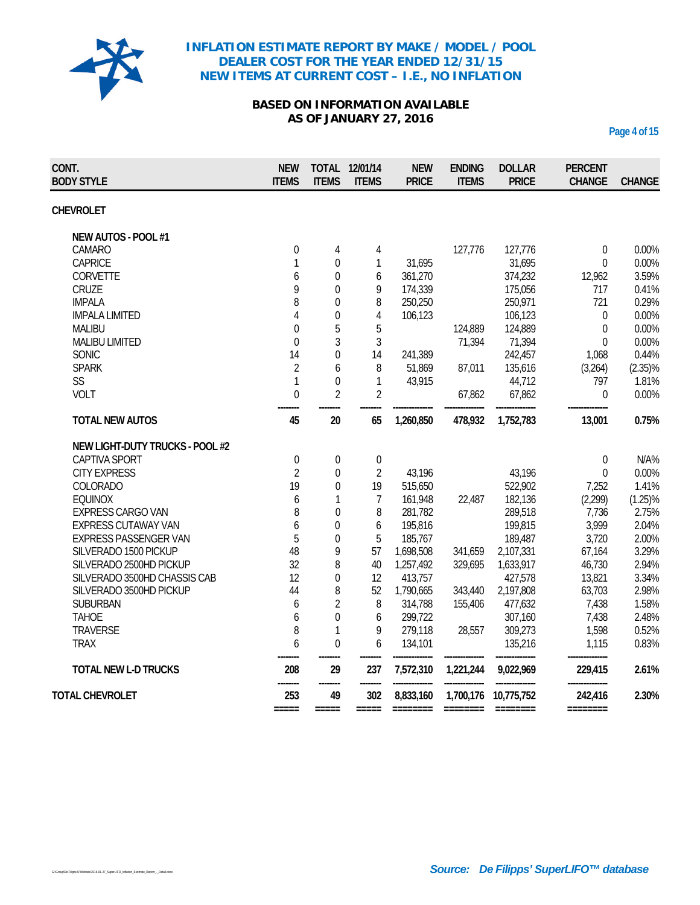

# **BASED ON INFORMATION AVAILABLE AS OF JANUARY 27, 2016**

**Page 4 of 15**

| CONT.<br><b>BODY STYLE</b>      | <b>NEW</b><br><b>ITEMS</b> | <b>ITEMS</b>     | TOTAL 12/01/14<br><b>ITEMS</b> | <b>NEW</b><br><b>PRICE</b> | <b>ENDING</b><br><b>ITEMS</b> | <b>DOLLAR</b><br><b>PRICE</b> | <b>PERCENT</b><br><b>CHANGE</b> | <b>CHANGE</b> |
|---------------------------------|----------------------------|------------------|--------------------------------|----------------------------|-------------------------------|-------------------------------|---------------------------------|---------------|
| <b>CHEVROLET</b>                |                            |                  |                                |                            |                               |                               |                                 |               |
| NEW AUTOS - POOL #1             |                            |                  |                                |                            |                               |                               |                                 |               |
| <b>CAMARO</b>                   | 0                          | 4                | 4                              |                            | 127,776                       | 127,776                       | 0                               | 0.00%         |
| <b>CAPRICE</b>                  | 1                          | $\boldsymbol{0}$ | $\mathbf{1}$                   | 31,695                     |                               | 31,695                        | $\Omega$                        | 0.00%         |
| <b>CORVETTE</b>                 | 6                          | $\mathbf 0$      | 6                              | 361,270                    |                               | 374,232                       | 12,962                          | 3.59%         |
| <b>CRUZE</b>                    | 9                          | $\overline{0}$   | 9                              | 174,339                    |                               | 175,056                       | 717                             | 0.41%         |
| <b>IMPALA</b>                   | 8                          | $\mathbf 0$      | 8                              | 250,250                    |                               | 250,971                       | 721                             | 0.29%         |
| <b>IMPALA LIMITED</b>           | $\overline{4}$             | $\mathbf 0$      | 4                              | 106,123                    |                               | 106,123                       | 0                               | 0.00%         |
| <b>MALIBU</b>                   | $\mathbf 0$                | 5                | 5                              |                            | 124,889                       | 124,889                       | $\boldsymbol{0}$                | 0.00%         |
| <b>MALIBU LIMITED</b>           | $\mathbf 0$                | $\overline{3}$   | 3                              |                            | 71,394                        | 71,394                        | $\theta$                        | 0.00%         |
| SONIC                           | 14                         | $\overline{0}$   | 14                             | 241,389                    |                               | 242,457                       | 1,068                           | 0.44%         |
| <b>SPARK</b>                    | $\overline{2}$             | 6                | 8                              | 51,869                     | 87,011                        | 135,616                       | (3,264)                         | $(2.35)\%$    |
| SS                              | $\mathbf{1}$               | $\mathbf 0$      | $\mathbf{1}$                   | 43,915                     |                               | 44,712                        | 797                             | 1.81%         |
| <b>VOLT</b>                     | $\mathbf 0$                | $\overline{2}$   | $\overline{2}$                 |                            | 67,862                        | 67,862                        | $\theta$                        | 0.00%         |
| <b>TOTAL NEW AUTOS</b>          | 45                         | 20               | 65                             | 1,260,850                  | 478,932                       | 1,752,783                     | 13,001                          | 0.75%         |
| NEW LIGHT-DUTY TRUCKS - POOL #2 |                            |                  |                                |                            |                               |                               |                                 |               |
| <b>CAPTIVA SPORT</b>            | 0                          | 0                | $\mathbf 0$                    |                            |                               |                               | 0                               | $N/A\%$       |
| <b>CITY EXPRESS</b>             | $\overline{2}$             | $\mathbf 0$      | $\overline{2}$                 | 43,196                     |                               | 43,196                        | $\Omega$                        | 0.00%         |
| <b>COLORADO</b>                 | 19                         | $\mathbf 0$      | 19                             | 515,650                    |                               | 522,902                       | 7,252                           | 1.41%         |
| <b>EQUINOX</b>                  | 6                          | $\mathbf{1}$     | $\overline{7}$                 | 161,948                    | 22,487                        | 182,136                       | (2, 299)                        | $(1.25)\%$    |
| <b>EXPRESS CARGO VAN</b>        | 8                          | $\boldsymbol{0}$ | 8                              | 281,782                    |                               | 289,518                       | 7,736                           | 2.75%         |
| <b>EXPRESS CUTAWAY VAN</b>      | 6                          | $\mathbf 0$      | 6                              | 195,816                    |                               | 199,815                       | 3,999                           | 2.04%         |
| <b>EXPRESS PASSENGER VAN</b>    | 5                          | $\overline{0}$   | 5                              | 185,767                    |                               | 189,487                       | 3,720                           | 2.00%         |
| SILVERADO 1500 PICKUP           | 48                         | 9                | 57                             | 1,698,508                  | 341,659                       | 2,107,331                     | 67,164                          | 3.29%         |
| SILVERADO 2500HD PICKUP         | 32                         | 8                | 40                             | 1,257,492                  | 329,695                       | 1,633,917                     | 46,730                          | 2.94%         |
| SILVERADO 3500HD CHASSIS CAB    | 12                         | $\boldsymbol{0}$ | 12                             | 413,757                    |                               | 427,578                       | 13,821                          | 3.34%         |
| SILVERADO 3500HD PICKUP         | 44                         | 8                | 52                             | 1,790,665                  | 343,440                       | 2,197,808                     | 63,703                          | 2.98%         |
| <b>SUBURBAN</b>                 | 6                          | $\overline{2}$   | 8                              | 314,788                    | 155,406                       | 477,632                       | 7,438                           | 1.58%         |
| <b>TAHOE</b>                    | 6                          | $\mathbf 0$      | 6                              | 299,722                    |                               | 307,160                       | 7,438                           | 2.48%         |
| <b>TRAVERSE</b>                 | 8                          | 1                | 9                              | 279,118                    | 28,557                        | 309,273                       | 1,598                           | 0.52%         |
| <b>TRAX</b>                     | 6                          | $\mathbf 0$      | 6                              | 134,101                    |                               | 135,216                       | 1,115                           | 0.83%         |
| <b>TOTAL NEW L-D TRUCKS</b>     | 208                        | 29               | 237                            | 7,572,310                  | 1,221,244                     | 9,022,969                     | 229,415                         | 2.61%         |
| TOTAL CHEVROLET                 | 253                        | 49               | 302                            | 8,833,160                  |                               | 1,700,176 10,775,752          | 242,416                         | 2.30%         |
|                                 | $=$ $=$ $=$ $=$ $=$        | =====            |                                | ========                   |                               | ========                      |                                 |               |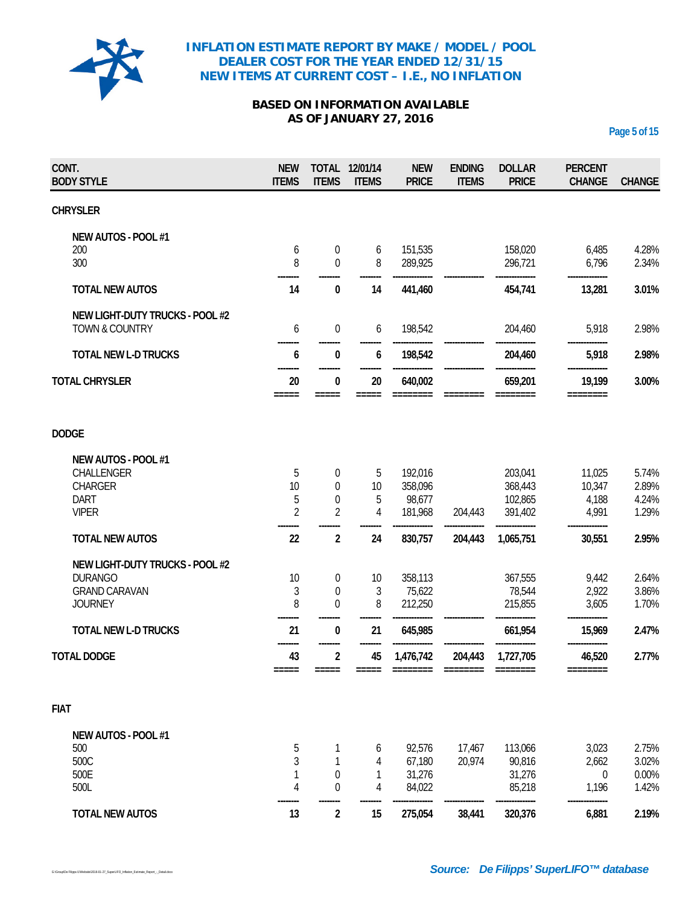

# **BASED ON INFORMATION AVAILABLE AS OF JANUARY 27, 2016**

**Page 5 of 15**

| CONT.<br><b>BODY STYLE</b>      | <b>NEW</b><br><b>ITEMS</b> | <b>ITEMS</b>     | TOTAL 12/01/14<br><b>ITEMS</b> | <b>NEW</b><br><b>PRICE</b> | <b>ENDING</b><br><b>ITEMS</b> | <b>DOLLAR</b><br><b>PRICE</b> | <b>PERCENT</b><br><b>CHANGE</b> | <b>CHANGE</b> |
|---------------------------------|----------------------------|------------------|--------------------------------|----------------------------|-------------------------------|-------------------------------|---------------------------------|---------------|
| <b>CHRYSLER</b>                 |                            |                  |                                |                            |                               |                               |                                 |               |
| NEW AUTOS - POOL #1             |                            |                  |                                |                            |                               |                               |                                 |               |
| 200                             | 6                          | $\boldsymbol{0}$ | 6                              | 151,535                    |                               | 158,020                       | 6,485                           | 4.28%         |
| 300                             | 8                          | 0                | 8                              | 289,925                    |                               | 296,721                       | 6,796                           | 2.34%         |
| <b>TOTAL NEW AUTOS</b>          | 14                         | 0                | 14                             | 441,460                    |                               | 454,741                       | 13,281                          | 3.01%         |
| NEW LIGHT-DUTY TRUCKS - POOL #2 |                            |                  |                                |                            |                               |                               |                                 |               |
| <b>TOWN &amp; COUNTRY</b>       | 6                          | $\boldsymbol{0}$ | 6                              | 198,542                    |                               | 204,460                       | 5,918                           | 2.98%         |
| <b>TOTAL NEW L-D TRUCKS</b>     | 6                          | 0                | 6                              | 198,542                    |                               | 204,460                       | 5,918                           | 2.98%         |
| <b>TOTAL CHRYSLER</b>           | 20                         | 0                | 20                             | 640,002                    |                               | 659,201                       | 19,199                          | 3.00%         |
|                                 | $=====$                    | =====            |                                |                            |                               |                               | ========                        |               |
| <b>DODGE</b>                    |                            |                  |                                |                            |                               |                               |                                 |               |
| NEW AUTOS - POOL #1             |                            |                  |                                |                            |                               |                               |                                 |               |
| CHALLENGER                      | 5                          | 0                | 5                              | 192,016                    |                               | 203,041                       | 11,025                          | 5.74%         |
| <b>CHARGER</b>                  | 10                         | $\boldsymbol{0}$ | 10                             | 358,096                    |                               | 368,443                       | 10,347                          | 2.89%         |
| <b>DART</b>                     | 5                          | $\boldsymbol{0}$ | 5                              | 98,677                     |                               | 102,865                       | 4,188                           | 4.24%         |
| <b>VIPER</b>                    | $\overline{2}$             | $\overline{2}$   | 4                              | 181,968                    | 204,443                       | 391,402                       | 4,991                           | 1.29%         |
| <b>TOTAL NEW AUTOS</b>          | 22                         | $\overline{a}$   | 24                             | 830,757                    | 204,443                       | 1,065,751                     | 30,551                          | 2.95%         |
| NEW LIGHT-DUTY TRUCKS - POOL #2 |                            |                  |                                |                            |                               |                               |                                 |               |
| <b>DURANGO</b>                  | 10                         | 0                | 10                             | 358,113                    |                               | 367,555                       | 9,442                           | 2.64%         |
| <b>GRAND CARAVAN</b>            | $\mathfrak{Z}$             | $\boldsymbol{0}$ | 3                              | 75,622                     |                               | 78,544                        | 2,922                           | 3.86%         |
| <b>JOURNEY</b>                  | 8                          | $\mathbf 0$      | 8                              | 212,250                    |                               | 215,855                       | 3,605                           | 1.70%         |
| <b>TOTAL NEW L-D TRUCKS</b>     | 21                         | 0                | 21                             | 645,985                    |                               | 661,954                       | 15,969                          | 2.47%         |
| <b>TOTAL DODGE</b>              | 43                         | $\overline{c}$   | 45                             | 1,476,742                  | 204,443                       | 1,727,705                     | 46,520                          | 2.77%         |
|                                 |                            |                  |                                |                            |                               |                               |                                 |               |
| <b>FIAT</b>                     |                            |                  |                                |                            |                               |                               |                                 |               |
| NEW AUTOS - POOL #1             |                            |                  |                                |                            |                               |                               |                                 |               |
| 500                             | 5                          | 1                | 6                              | 92,576                     | 17,467                        | 113,066                       | 3,023                           | 2.75%         |
| 500C                            | 3                          |                  | 4                              | 67,180                     | 20,974                        | 90,816                        | 2,662                           | 3.02%         |
| 500E                            | 1                          | $\mathbf 0$      | 1                              | 31,276                     |                               | 31,276                        | $\Omega$                        | 0.00%         |
| 500L                            | 4                          | $\theta$         | 4                              | 84,022                     |                               | 85,218                        | 1,196                           | 1.42%         |
| <b>TOTAL NEW AUTOS</b>          | 13                         | $\overline{a}$   | 15                             | 275,054                    | 38,441                        | 320,376                       | 6,881                           | 2.19%         |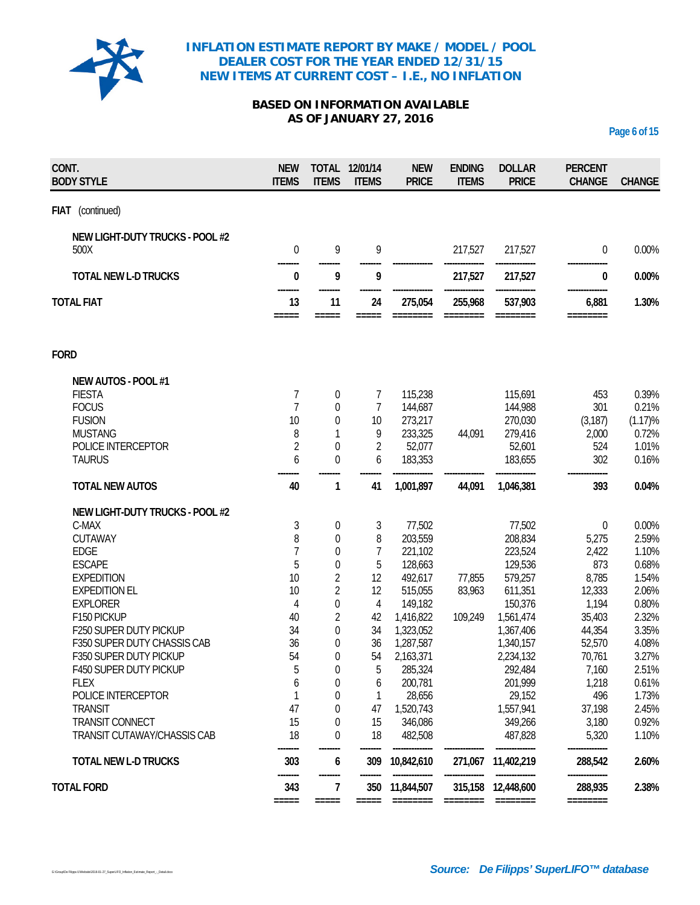

# **BASED ON INFORMATION AVAILABLE AS OF JANUARY 27, 2016**

**Page 6 of 15**

| CONT.<br><b>BODY STYLE</b>      | <b>NEW</b><br><b>ITEMS</b> | <b>ITEMS</b>     | TOTAL 12/01/14<br><b>ITEMS</b> | <b>NEW</b><br><b>PRICE</b> | <b>ENDING</b><br><b>ITEMS</b> | <b>DOLLAR</b><br><b>PRICE</b>                                                                                                                                                                                                                                                                                                                                                                                                       | <b>PERCENT</b><br><b>CHANGE</b> | <b>CHANGE</b> |
|---------------------------------|----------------------------|------------------|--------------------------------|----------------------------|-------------------------------|-------------------------------------------------------------------------------------------------------------------------------------------------------------------------------------------------------------------------------------------------------------------------------------------------------------------------------------------------------------------------------------------------------------------------------------|---------------------------------|---------------|
| (continued)<br><b>FIAT</b>      |                            |                  |                                |                            |                               |                                                                                                                                                                                                                                                                                                                                                                                                                                     |                                 |               |
| NEW LIGHT-DUTY TRUCKS - POOL #2 |                            |                  |                                |                            |                               |                                                                                                                                                                                                                                                                                                                                                                                                                                     |                                 |               |
| 500X                            | 0                          | 9                | 9                              |                            | 217,527                       | 217,527                                                                                                                                                                                                                                                                                                                                                                                                                             | 0                               | 0.00%         |
| <b>TOTAL NEW L-D TRUCKS</b>     | 0                          | 9                | 9                              |                            | 217,527                       | 217,527                                                                                                                                                                                                                                                                                                                                                                                                                             | 0                               | 0.00%         |
| <b>TOTAL FIAT</b>               | 13                         | 11               | 24                             | 275,054                    | 255,968                       | 537,903                                                                                                                                                                                                                                                                                                                                                                                                                             | 6,881                           | 1.30%         |
|                                 | $=====$                    | $=====$          | =====                          |                            | ========                      | $\begin{array}{cccccc} \texttt{m} & \texttt{m} & \texttt{m} & \texttt{m} & \texttt{m} & \texttt{m} & \texttt{m} & \texttt{m} & \texttt{m} & \texttt{m} & \texttt{m} & \texttt{m} & \texttt{m} & \texttt{m} & \texttt{m} & \texttt{m} & \texttt{m} & \texttt{m} & \texttt{m} & \texttt{m} & \texttt{m} & \texttt{m} & \texttt{m} & \texttt{m} & \texttt{m} & \texttt{m} & \texttt{m} & \texttt{m} & \texttt{m} & \texttt{m} & \text$ | ========                        |               |
| <b>FORD</b>                     |                            |                  |                                |                            |                               |                                                                                                                                                                                                                                                                                                                                                                                                                                     |                                 |               |
| <b>NEW AUTOS - POOL #1</b>      |                            |                  |                                |                            |                               |                                                                                                                                                                                                                                                                                                                                                                                                                                     |                                 |               |
| <b>FIESTA</b>                   | $\overline{7}$             | 0                | 7                              | 115,238                    |                               | 115,691                                                                                                                                                                                                                                                                                                                                                                                                                             | 453                             | 0.39%         |
| <b>FOCUS</b>                    | $\overline{7}$             | $\boldsymbol{0}$ | 7                              | 144,687                    |                               | 144,988                                                                                                                                                                                                                                                                                                                                                                                                                             | 301                             | 0.21%         |
| <b>FUSION</b>                   | 10                         | $\boldsymbol{0}$ | 10                             | 273,217                    |                               | 270,030                                                                                                                                                                                                                                                                                                                                                                                                                             | (3, 187)                        | (1.17)%       |
| <b>MUSTANG</b>                  | 8                          | 1                | 9                              | 233,325                    | 44,091                        | 279,416                                                                                                                                                                                                                                                                                                                                                                                                                             | 2,000                           | 0.72%         |
| POLICE INTERCEPTOR              | $\overline{2}$             | $\boldsymbol{0}$ | $\overline{2}$                 | 52,077                     |                               | 52,601                                                                                                                                                                                                                                                                                                                                                                                                                              | 524                             | 1.01%         |
| <b>TAURUS</b>                   | 6                          | 0                | 6                              | 183,353                    |                               | 183,655                                                                                                                                                                                                                                                                                                                                                                                                                             | 302                             | 0.16%         |
| <b>TOTAL NEW AUTOS</b>          | 40                         | 1                | 41                             | 1,001,897                  | 44,091                        | 1,046,381                                                                                                                                                                                                                                                                                                                                                                                                                           | 393                             | 0.04%         |
| NEW LIGHT-DUTY TRUCKS - POOL #2 |                            |                  |                                |                            |                               |                                                                                                                                                                                                                                                                                                                                                                                                                                     |                                 |               |
| C-MAX                           | $\sqrt{3}$                 | 0                | 3                              | 77,502                     |                               | 77,502                                                                                                                                                                                                                                                                                                                                                                                                                              | 0                               | 0.00%         |
| <b>CUTAWAY</b>                  | 8                          | $\boldsymbol{0}$ | 8                              | 203,559                    |                               | 208,834                                                                                                                                                                                                                                                                                                                                                                                                                             | 5,275                           | 2.59%         |
| <b>EDGE</b>                     | $\overline{1}$             | $\boldsymbol{0}$ | $\overline{7}$                 | 221,102                    |                               | 223,524                                                                                                                                                                                                                                                                                                                                                                                                                             | 2,422                           | 1.10%         |
| <b>ESCAPE</b>                   | 5                          | $\mathbf 0$      | 5                              | 128,663                    |                               | 129,536                                                                                                                                                                                                                                                                                                                                                                                                                             | 873                             | 0.68%         |
| <b>EXPEDITION</b>               | 10                         | $\overline{2}$   | 12                             | 492,617                    | 77,855                        | 579,257                                                                                                                                                                                                                                                                                                                                                                                                                             | 8,785                           | 1.54%         |
| <b>EXPEDITION EL</b>            | 10                         | $\overline{2}$   | 12                             | 515,055                    | 83,963                        | 611,351                                                                                                                                                                                                                                                                                                                                                                                                                             | 12,333                          | 2.06%         |
| <b>EXPLORER</b>                 | 4                          | $\boldsymbol{0}$ | 4                              | 149,182                    |                               | 150,376                                                                                                                                                                                                                                                                                                                                                                                                                             | 1,194                           | 0.80%         |
| F150 PICKUP                     | 40                         | $\overline{2}$   | 42                             | 1,416,822                  | 109,249                       | 1,561,474                                                                                                                                                                                                                                                                                                                                                                                                                           | 35,403                          | 2.32%         |
| F250 SUPER DUTY PICKUP          | 34                         | $\mathbf 0$      | 34                             | 1,323,052                  |                               | 1,367,406                                                                                                                                                                                                                                                                                                                                                                                                                           | 44,354                          | 3.35%         |
| F350 SUPER DUTY CHASSIS CAB     | 36                         | 0                | 36                             | 1,287,587                  |                               | 1,340,157                                                                                                                                                                                                                                                                                                                                                                                                                           | 52,570                          | 4.08%         |
| F350 SUPER DUTY PICKUP          | 54                         | 0                | 54                             | 2,163,371                  |                               | 2,234,132                                                                                                                                                                                                                                                                                                                                                                                                                           | 70,761                          | 3.27%         |
| F450 SUPER DUTY PICKUP          | ხ                          | 0                | b                              | 285,324                    |                               | 292,484                                                                                                                                                                                                                                                                                                                                                                                                                             | 7,160                           | 2.51%         |
| <b>FLEX</b>                     | 6                          | 0                | 6                              | 200,781                    |                               | 201,999                                                                                                                                                                                                                                                                                                                                                                                                                             | 1,218                           | 0.61%         |
| POLICE INTERCEPTOR              | 1                          | 0                | 1                              | 28,656                     |                               | 29,152                                                                                                                                                                                                                                                                                                                                                                                                                              | 496                             | 1.73%         |
| <b>TRANSIT</b>                  | 47                         | 0                | 47                             | 1,520,743                  |                               | 1,557,941                                                                                                                                                                                                                                                                                                                                                                                                                           | 37,198                          | 2.45%         |
| <b>TRANSIT CONNECT</b>          | 15                         | 0                | 15                             | 346,086                    |                               | 349,266                                                                                                                                                                                                                                                                                                                                                                                                                             | 3,180                           | 0.92%         |
| TRANSIT CUTAWAY/CHASSIS CAB     | 18                         | $\Omega$         | 18                             | 482,508                    |                               | 487,828                                                                                                                                                                                                                                                                                                                                                                                                                             | 5,320                           | 1.10%         |
| TOTAL NEW L-D TRUCKS            | 303                        | 6                | 309                            | 10,842,610                 | 271,067                       | 11,402,219                                                                                                                                                                                                                                                                                                                                                                                                                          | 288,542                         | 2.60%         |
| <b>TOTAL FORD</b>               | 343                        | 7                | 350                            | 11,844,507                 | 315,158                       | 12,448,600                                                                                                                                                                                                                                                                                                                                                                                                                          | 288,935                         | 2.38%         |
|                                 | =====                      | =====            | =====                          |                            |                               |                                                                                                                                                                                                                                                                                                                                                                                                                                     | ========                        |               |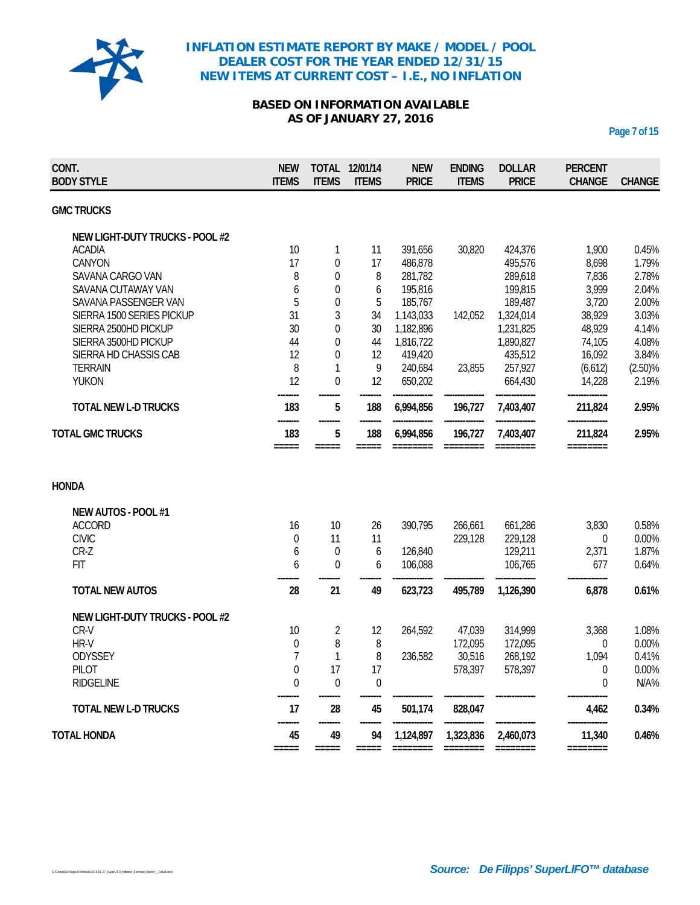

# **BASED ON INFORMATION AVAILABLE AS OF JANUARY 27, 2016**

**Page 7 of 15**

| 10<br>17<br>8<br>6<br>5 | 1<br>0<br>0<br>0                    | 11<br>17<br>8         | 391,656<br>486,878                | 30,820                                                    | 424,376                      | 1,900                                                                              |                                                                                    |
|-------------------------|-------------------------------------|-----------------------|-----------------------------------|-----------------------------------------------------------|------------------------------|------------------------------------------------------------------------------------|------------------------------------------------------------------------------------|
|                         |                                     |                       |                                   |                                                           |                              |                                                                                    |                                                                                    |
|                         |                                     |                       |                                   |                                                           |                              |                                                                                    |                                                                                    |
|                         |                                     |                       |                                   |                                                           |                              |                                                                                    | 0.45%                                                                              |
|                         |                                     |                       |                                   |                                                           | 495,576                      | 8,698                                                                              | 1.79%                                                                              |
|                         |                                     |                       | 281,782                           |                                                           | 289,618                      | 7,836                                                                              | 2.78%                                                                              |
|                         |                                     | 6                     | 195,816                           |                                                           | 199,815                      | 3,999                                                                              | 2.04%                                                                              |
|                         | 0                                   | 5                     | 185,767                           |                                                           | 189,487                      | 3,720                                                                              | 2.00%                                                                              |
|                         | 3                                   | 34                    | 1,143,033                         |                                                           |                              |                                                                                    | 3.03%                                                                              |
| 30                      | 0                                   | 30                    |                                   |                                                           |                              |                                                                                    | 4.14%                                                                              |
| 44                      | 0                                   |                       |                                   |                                                           |                              |                                                                                    | 4.08%                                                                              |
|                         | 0                                   |                       |                                   |                                                           |                              |                                                                                    | 3.84%                                                                              |
| 8                       | 1                                   | 9                     |                                   |                                                           |                              |                                                                                    | (2.50)%                                                                            |
| 12                      | $\mathbf 0$                         | 12                    | 650,202                           |                                                           | 664,430                      | 14,228                                                                             | 2.19%                                                                              |
| 183                     | 5                                   | 188                   | 6,994,856                         | 196,727                                                   | 7,403,407                    | 211,824                                                                            | 2.95%                                                                              |
|                         |                                     |                       |                                   |                                                           |                              |                                                                                    | 2.95%                                                                              |
|                         |                                     |                       |                                   |                                                           |                              |                                                                                    |                                                                                    |
|                         |                                     |                       |                                   |                                                           |                              |                                                                                    |                                                                                    |
|                         |                                     |                       |                                   |                                                           |                              |                                                                                    |                                                                                    |
| 16                      | 10                                  | 26                    | 390,795                           | 266,661                                                   | 661,286                      | 3,830                                                                              | 0.58%                                                                              |
| $\mathbf 0$             | 11                                  | 11                    |                                   | 229,128                                                   | 229,128                      | $\overline{0}$                                                                     | 0.00%                                                                              |
| 6                       | 0                                   | 6                     | 126,840                           |                                                           | 129,211                      | 2,371                                                                              | 1.87%                                                                              |
| 6                       | 0                                   | 6                     | 106,088                           |                                                           | 106,765                      | 677                                                                                | 0.64%                                                                              |
| 28                      | 21                                  | 49                    | 623,723                           | 495,789                                                   | 1,126,390                    | 6,878                                                                              | 0.61%                                                                              |
|                         |                                     |                       |                                   |                                                           |                              |                                                                                    |                                                                                    |
| 10                      | 2                                   | 12                    | 264,592                           | 47,039                                                    | 314,999                      | 3,368                                                                              | 1.08%                                                                              |
| $\mathbf 0$             | 8                                   | 8                     |                                   | 172,095                                                   | 172,095                      | $\Omega$                                                                           | 0.00%                                                                              |
| 7                       | 1                                   | 8                     | 236,582                           | 30,516                                                    | 268,192                      | 1,094                                                                              | 0.41%                                                                              |
| $\mathbf 0$             | 17                                  | 17                    |                                   | 578,397                                                   | 578,397                      | $\theta$                                                                           | 0.00%                                                                              |
| $\mathbf 0$             | 0                                   | 0                     |                                   |                                                           |                              | $\boldsymbol{0}$                                                                   | N/A%                                                                               |
| 17                      | 28                                  | 45                    | 501,174                           | 828,047                                                   |                              | 4,462                                                                              | 0.34%                                                                              |
| 45                      | 49                                  | 94                    | 1,124,897                         | 1,323,836                                                 | 2,460,073                    | 11,340                                                                             | 0.46%                                                                              |
|                         | 31<br>12<br>183<br>$=====$<br>===== | 5<br>$=====$<br>===== | 44<br>12<br>188<br>=====<br>===== | 1,182,896<br>1,816,722<br>419,420<br>240,684<br>6,994,856 | 142,052<br>23,855<br>196,727 | 1,324,014<br>1,231,825<br>1,890,827<br>435,512<br>257,927<br>7,403,407<br>======== | 38,929<br>48,929<br>74,105<br>16,092<br>(6,612)<br>211,824<br>========<br>======== |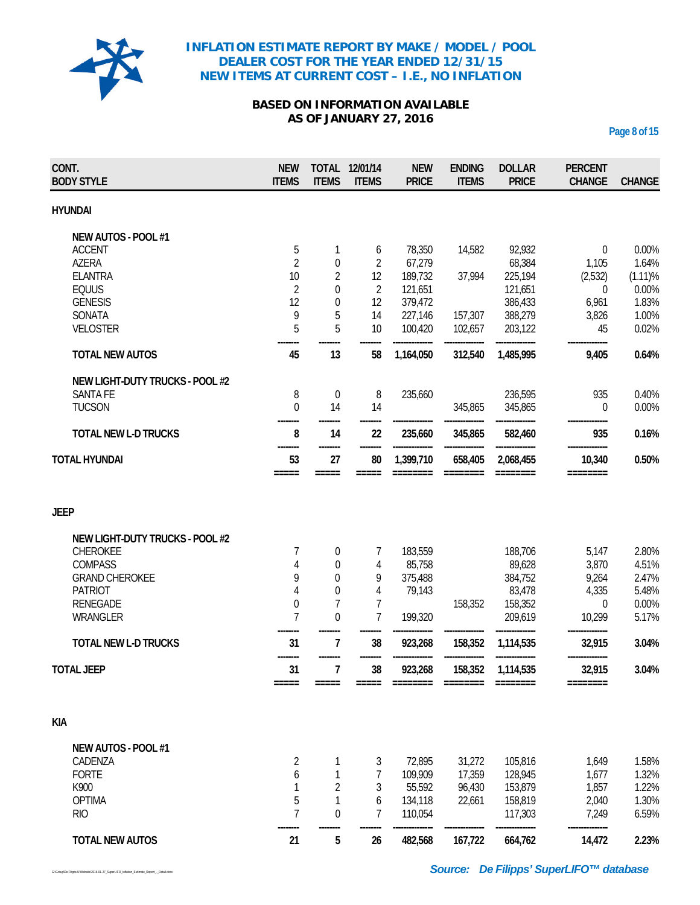

# **BASED ON INFORMATION AVAILABLE AS OF JANUARY 27, 2016**

**Page 8 of 15**

| CONT.<br><b>BODY STYLE</b>              | <b>NEW</b><br><b>ITEMS</b> | <b>ITEMS</b>                       | TOTAL 12/01/14<br><b>ITEMS</b> | <b>NEW</b><br><b>PRICE</b> | <b>ENDING</b><br><b>ITEMS</b> | <b>DOLLAR</b><br><b>PRICE</b> | <b>PERCENT</b><br><b>CHANGE</b> | <b>CHANGE</b>  |
|-----------------------------------------|----------------------------|------------------------------------|--------------------------------|----------------------------|-------------------------------|-------------------------------|---------------------------------|----------------|
| <b>HYUNDAI</b>                          |                            |                                    |                                |                            |                               |                               |                                 |                |
| <b>NEW AUTOS - POOL #1</b>              |                            |                                    |                                |                            |                               |                               |                                 |                |
| <b>ACCENT</b>                           | 5                          | 1                                  | 6                              | 78,350                     | 14,582                        | 92,932                        | 0                               | 0.00%          |
| <b>AZERA</b>                            | $\overline{2}$             | $\boldsymbol{0}$                   | $\overline{2}$                 | 67,279                     |                               | 68,384                        | 1,105                           | 1.64%          |
| <b>ELANTRA</b>                          | 10                         | $\overline{2}$                     | 12                             | 189,732                    | 37,994                        | 225,194                       | (2,532)                         | (1.11)%        |
| <b>EQUUS</b>                            | $\overline{2}$             | $\mathbf 0$                        | $\overline{2}$                 | 121,651                    |                               | 121,651                       | $\Omega$                        | 0.00%          |
| <b>GENESIS</b>                          | 12                         | $\mathbf 0$                        | 12                             | 379,472                    |                               | 386,433                       | 6,961                           | 1.83%          |
| <b>SONATA</b>                           | 9                          | 5                                  | 14                             | 227,146                    | 157,307                       | 388,279                       | 3,826                           | 1.00%          |
| <b>VELOSTER</b>                         | 5                          | 5                                  | 10                             | 100,420                    | 102,657                       | 203,122                       | 45                              | 0.02%          |
| <b>TOTAL NEW AUTOS</b>                  | 45                         | 13                                 | 58                             | 1,164,050                  | 312,540                       | 1,485,995                     | 9,405                           | 0.64%          |
| NEW LIGHT-DUTY TRUCKS - POOL #2         |                            |                                    |                                |                            |                               |                               |                                 |                |
| <b>SANTA FE</b>                         | 8                          | 0                                  | 8                              | 235,660                    |                               | 236,595                       | 935                             | 0.40%          |
| <b>TUCSON</b>                           | 0                          | 14                                 | 14                             |                            | 345,865                       | 345,865                       | $\theta$                        | 0.00%          |
| <b>TOTAL NEW L-D TRUCKS</b>             | 8                          | 14                                 | 22                             | 235,660                    | 345,865                       | 582,460                       | 935                             | 0.16%          |
| <b>TOTAL HYUNDAI</b>                    | 53                         | 27                                 | 80                             | 1,399,710                  | 658,405                       | 2,068,455                     | 10,340                          | 0.50%          |
| <b>JEEP</b>                             |                            |                                    |                                |                            |                               |                               |                                 |                |
|                                         |                            |                                    |                                |                            |                               |                               |                                 |                |
| NEW LIGHT-DUTY TRUCKS - POOL #2         |                            |                                    |                                |                            |                               |                               |                                 |                |
| <b>CHEROKEE</b>                         | 7                          | 0                                  | 7                              | 183,559                    |                               | 188,706                       | 5,147                           | 2.80%          |
| <b>COMPASS</b><br><b>GRAND CHEROKEE</b> | 4<br>9                     | $\boldsymbol{0}$<br>$\overline{0}$ | 4<br>9                         | 85,758<br>375,488          |                               | 89,628<br>384,752             | 3,870<br>9,264                  | 4.51%<br>2.47% |
| <b>PATRIOT</b>                          | $\overline{4}$             | $\mathbf 0$                        | $\overline{4}$                 | 79,143                     |                               | 83,478                        | 4,335                           | 5.48%          |
| <b>RENEGADE</b>                         | 0                          | $\overline{7}$                     | $\overline{7}$                 |                            | 158,352                       | 158,352                       | 0                               | 0.00%          |
| <b>WRANGLER</b>                         | 7                          | $\overline{0}$                     | $\overline{7}$                 | 199,320                    |                               | 209,619                       | 10,299                          | 5.17%          |
|                                         |                            |                                    |                                |                            |                               |                               |                                 |                |
| <b>TOTAL NEW L-D TRUCKS</b>             | 31                         | 7                                  | 38                             | 923,268                    | 158,352                       | 1,114,535                     | 32,915                          | 3.04%          |
| <b>TOTAL JEEP</b>                       | 31                         | 7<br>=====                         | 38                             | 923,268                    | 158,352                       | 1,114,535                     | 32,915<br>$=$ = = = = = = =     | 3.04%          |
| <b>KIA</b>                              |                            |                                    |                                |                            |                               |                               |                                 |                |
|                                         |                            |                                    |                                |                            |                               |                               |                                 |                |
| NEW AUTOS - POOL #1<br>CADENZA          | 2                          | 1                                  | 3                              | 72,895                     | 31,272                        | 105,816                       | 1,649                           | 1.58%          |
| <b>FORTE</b>                            | 6                          | 1                                  | 7                              | 109,909                    | 17,359                        | 128,945                       | 1,677                           | 1.32%          |
| K900                                    | 1                          | $\overline{2}$                     | 3                              | 55,592                     | 96,430                        | 153,879                       | 1,857                           | 1.22%          |
| <b>OPTIMA</b>                           | 5                          | 1                                  | 6                              | 134,118                    | 22,661                        | 158,819                       | 2,040                           | 1.30%          |
| <b>RIO</b>                              | $\overline{1}$             | 0                                  | $\overline{7}$                 | 110,054                    |                               | 117,303                       | 7,249                           | 6.59%          |
| <b>TOTAL NEW AUTOS</b>                  | 21                         | 5                                  | 26                             | 482,568                    | 167,722                       | 664,762                       | 14,472                          | 2.23%          |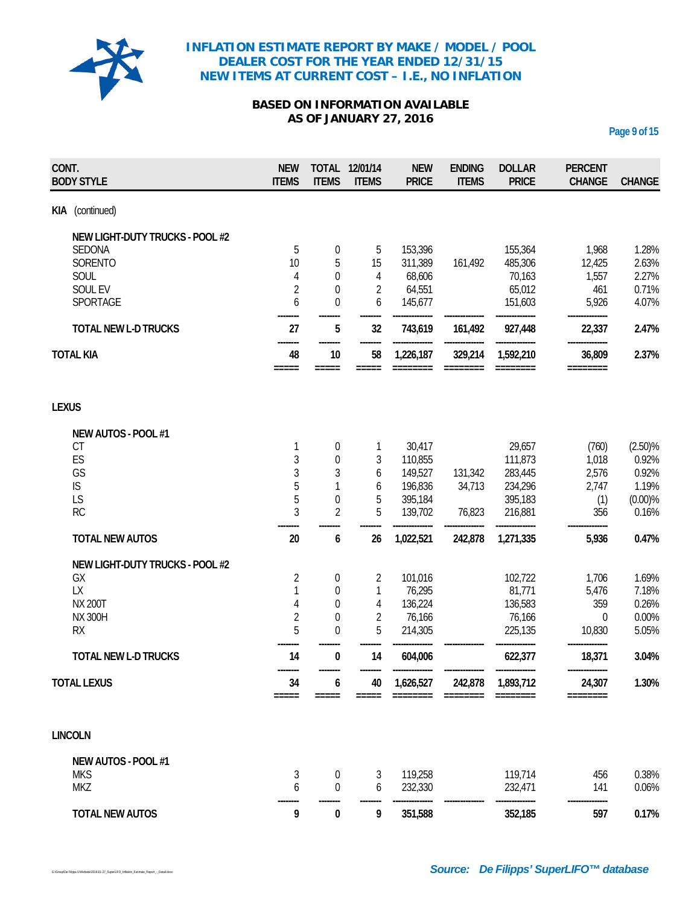

# **BASED ON INFORMATION AVAILABLE AS OF JANUARY 27, 2016**

**Page 9 of 15**

| CONT.        | <b>BODY STYLE</b>               | <b>NEW</b><br><b>ITEMS</b> | <b>ITEMS</b>     | TOTAL 12/01/14<br><b>ITEMS</b> | <b>NEW</b><br><b>PRICE</b> | <b>ENDING</b><br><b>ITEMS</b> | <b>DOLLAR</b><br><b>PRICE</b> | <b>PERCENT</b><br><b>CHANGE</b> | <b>CHANGE</b> |
|--------------|---------------------------------|----------------------------|------------------|--------------------------------|----------------------------|-------------------------------|-------------------------------|---------------------------------|---------------|
| KIA.         | (continued)                     |                            |                  |                                |                            |                               |                               |                                 |               |
|              | NEW LIGHT-DUTY TRUCKS - POOL #2 |                            |                  |                                |                            |                               |                               |                                 |               |
|              | <b>SEDONA</b>                   | 5                          | $\boldsymbol{0}$ | 5                              | 153,396                    |                               | 155,364                       | 1,968                           | 1.28%         |
|              | <b>SORENTO</b>                  | 10                         | 5                | 15                             | 311,389                    | 161,492                       | 485,306                       | 12,425                          | 2.63%         |
|              | SOUL                            | 4                          | $\mathbf 0$      | $\overline{4}$                 | 68,606                     |                               | 70,163                        | 1,557                           | 2.27%         |
|              | SOUL EV                         | $\overline{2}$             | $\mathbf 0$      | $\overline{2}$                 | 64,551                     |                               | 65,012                        | 461                             | 0.71%         |
|              | SPORTAGE                        | 6                          | $\mathbf 0$      | 6                              | 145,677                    |                               | 151,603                       | 5,926                           | 4.07%         |
|              | <b>TOTAL NEW L-D TRUCKS</b>     | 27                         | 5                | 32                             | 743,619                    | 161,492                       | 927,448                       | 22,337                          | 2.47%         |
|              | <b>TOTAL KIA</b>                | 48                         | 10               | 58                             | 1,226,187                  | 329,214                       | 1,592,210                     | 36,809                          | 2.37%         |
|              |                                 | =====                      | =====            | =====                          |                            |                               | =====                         | ========                        |               |
| <b>LEXUS</b> |                                 |                            |                  |                                |                            |                               |                               |                                 |               |
|              | NEW AUTOS - POOL #1             |                            |                  |                                |                            |                               |                               |                                 |               |
|              | <b>CT</b>                       | 1                          | 0                | 1                              | 30,417                     |                               | 29,657                        | (760)                           | (2.50)%       |
|              | ES                              | 3                          | $\boldsymbol{0}$ | 3                              | 110,855                    |                               | 111,873                       | 1,018                           | 0.92%         |
|              | GS                              | 3                          | $\overline{3}$   | 6                              | 149,527                    | 131,342                       | 283,445                       | 2,576                           | 0.92%         |
|              | IS                              | 5                          | 1                | 6                              | 196,836                    | 34,713                        | 234,296                       | 2,747                           | 1.19%         |
|              | LS                              | 5                          | $\boldsymbol{0}$ | 5                              | 395,184                    |                               | 395,183                       | (1)                             | $(0.00)$ %    |
|              | <b>RC</b>                       | 3                          | $\overline{2}$   | 5                              | 139,702                    | 76,823                        | 216,881                       | 356                             | 0.16%         |
|              | <b>TOTAL NEW AUTOS</b>          | $20\,$                     | 6                | 26                             | 1,022,521                  | 242,878                       | 1,271,335                     | 5,936                           | 0.47%         |
|              | NEW LIGHT-DUTY TRUCKS - POOL #2 |                            |                  |                                |                            |                               |                               |                                 |               |
|              | GX                              | 2                          | 0                | 2                              | 101,016                    |                               | 102,722                       | 1,706                           | 1.69%         |
|              | <b>LX</b>                       | 1                          | $\mathbf 0$      | $\mathbf{1}$                   | 76,295                     |                               | 81,771                        | 5,476                           | 7.18%         |
|              | <b>NX 200T</b>                  | $\overline{4}$             | $\mathbf 0$      | $\overline{4}$                 | 136,224                    |                               | 136,583                       | 359                             | 0.26%         |
|              | <b>NX 300H</b>                  | $\overline{2}$             | $\mathbf 0$      | $\overline{2}$                 | 76,166                     |                               | 76,166                        | 0                               | 0.00%         |
|              | <b>RX</b>                       | 5                          | $\theta$         | 5                              | 214,305                    |                               | 225,135                       | 10,830                          | 5.05%         |
|              | <b>TOTAL NEW L-D TRUCKS</b>     | 14                         | 0                | 14                             | 604,006                    |                               | 622,377                       | 18,371                          | 3.04%         |
|              | <b>TOTAL LEXUS</b>              | 34                         | 6                | 40                             | 1,626,527                  | 242,878                       | 1,893,712                     | 24,307                          | 1.30%         |
|              |                                 | =====                      | =====            |                                |                            |                               |                               | ========                        |               |
|              | <b>LINCOLN</b>                  |                            |                  |                                |                            |                               |                               |                                 |               |
|              | NEW AUTOS - POOL #1             |                            |                  |                                |                            |                               |                               |                                 |               |
|              | <b>MKS</b>                      | 3                          | 0                | 3                              | 119,258                    |                               | 119,714                       | 456                             | 0.38%         |
|              | <b>MKZ</b>                      | 6                          | $\Omega$         | 6                              | 232,330                    |                               | 232,471                       | 141                             | 0.06%         |
|              | <b>TOTAL NEW AUTOS</b>          | 9                          | $\pmb{0}$        | 9                              | 351,588                    |                               | 352,185                       | 597                             | 0.17%         |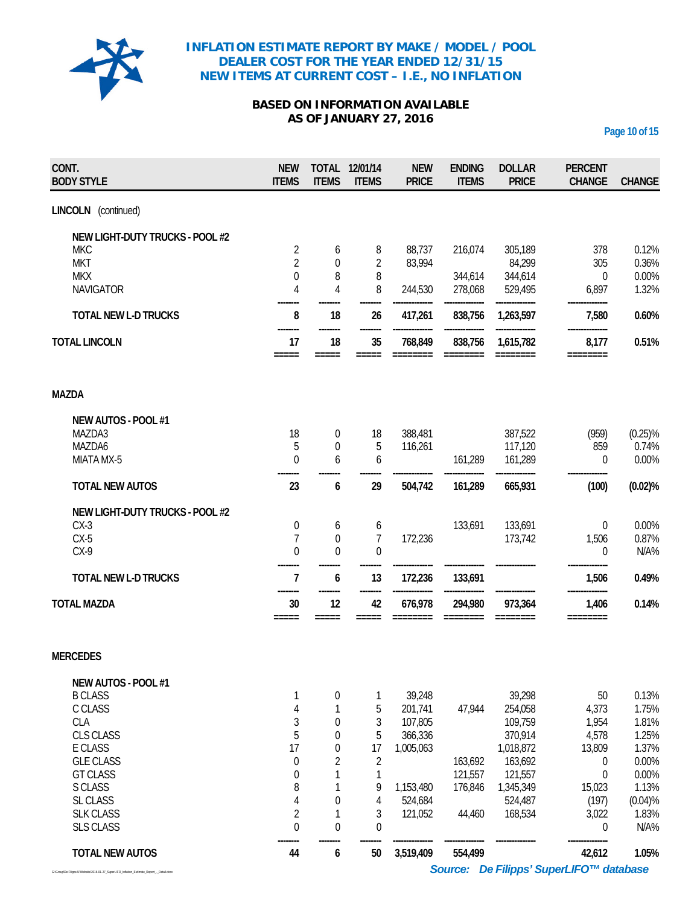

# **BASED ON INFORMATION AVAILABLE AS OF JANUARY 27, 2016**

**Page 10 of 15**

| CONT.<br><b>BODY STYLE</b>                                                                 | <b>NEW</b><br><b>ITEMS</b> | <b>ITEMS</b>                    | TOTAL 12/01/14<br><b>ITEMS</b> | <b>NEW</b><br><b>PRICE</b> | <b>ENDING</b><br><b>ITEMS</b> | <b>DOLLAR</b><br><b>PRICE</b> | <b>PERCENT</b><br><b>CHANGE</b>         | <b>CHANGE</b>       |
|--------------------------------------------------------------------------------------------|----------------------------|---------------------------------|--------------------------------|----------------------------|-------------------------------|-------------------------------|-----------------------------------------|---------------------|
| LINCOLN (continued)                                                                        |                            |                                 |                                |                            |                               |                               |                                         |                     |
| NEW LIGHT-DUTY TRUCKS - POOL #2                                                            |                            |                                 |                                |                            |                               |                               |                                         |                     |
| <b>MKC</b>                                                                                 | 2                          | 6                               | 8                              | 88,737                     | 216,074                       | 305,189                       | 378                                     | 0.12%               |
| <b>MKT</b>                                                                                 | $\overline{2}$             | $\boldsymbol{0}$                | $\overline{2}$                 | 83,994                     |                               | 84,299                        | 305                                     | 0.36%               |
| <b>MKX</b>                                                                                 | $\boldsymbol{0}$           | 8                               | 8                              |                            | 344,614                       | 344,614                       | $\boldsymbol{0}$                        | 0.00%               |
| NAVIGATOR                                                                                  | $\overline{4}$             | $\overline{4}$                  | 8                              | 244,530                    | 278,068                       | 529,495                       | 6,897                                   | 1.32%               |
| TOTAL NEW L-D TRUCKS                                                                       | 8                          | 18                              | 26                             | 417,261                    | 838,756                       | 1,263,597                     | 7,580                                   | 0.60%               |
| <b>TOTAL LINCOLN</b>                                                                       | 17<br>=====                | 18<br>=====                     | 35<br>=====                    | 768,849<br>---------       | 838,756<br>========           | 1,615,782<br>========         | 8,177<br>========                       | 0.51%               |
| <b>MAZDA</b>                                                                               |                            |                                 |                                |                            |                               |                               |                                         |                     |
|                                                                                            |                            |                                 |                                |                            |                               |                               |                                         |                     |
| <b>NEW AUTOS - POOL #1</b>                                                                 |                            |                                 |                                |                            |                               |                               |                                         |                     |
| MAZDA3<br>MAZDA6                                                                           | 18<br>5                    | $\boldsymbol{0}$<br>$\mathbf 0$ | 18<br>5                        | 388,481<br>116,261         |                               | 387,522<br>117,120            | (959)<br>859                            | $(0.25)\%$<br>0.74% |
| MIATA MX-5                                                                                 | 0                          | 6                               | 6                              |                            | 161,289                       | 161,289                       | $\mathbf{0}$                            | 0.00%               |
|                                                                                            |                            |                                 |                                |                            |                               |                               |                                         |                     |
| <b>TOTAL NEW AUTOS</b>                                                                     | 23                         | 6                               | 29                             | 504,742                    | 161,289                       | 665,931                       | (100)                                   | $(0.02)$ %          |
| NEW LIGHT-DUTY TRUCKS - POOL #2                                                            |                            |                                 |                                |                            |                               |                               |                                         |                     |
| $CX-3$                                                                                     | 0                          | 6                               | 6                              |                            | 133,691                       | 133,691                       | 0                                       | 0.00%               |
| $CX-5$                                                                                     | 7                          | 0                               | $\overline{7}$                 | 172,236                    |                               | 173,742                       | 1,506                                   | 0.87%               |
| $CX-9$                                                                                     | $\overline{0}$             | $\theta$                        | $\boldsymbol{0}$               |                            |                               |                               | 0                                       | $N/A\%$             |
| TOTAL NEW L-D TRUCKS                                                                       | 7                          | 6                               | 13                             | 172,236                    | 133,691                       |                               | 1,506                                   | 0.49%               |
| <b>TOTAL MAZDA</b>                                                                         | 30                         | 12                              | 42                             | 676,978                    | 294,980                       | 973,364                       | 1,406                                   | 0.14%               |
|                                                                                            | $=====$                    | $=$ $=$ $=$ $=$ $=$             | =====                          | $==$                       |                               |                               | ========                                |                     |
| <b>MERCEDES</b>                                                                            |                            |                                 |                                |                            |                               |                               |                                         |                     |
| <b>NEW AUTOS - POOL #1</b>                                                                 |                            |                                 |                                |                            |                               |                               |                                         |                     |
| <b>B CLASS</b>                                                                             | 1                          | 0                               | 1                              | 39,248                     |                               | 39,298                        | 50                                      | 0.13%               |
| C CLASS                                                                                    | $\sqrt{4}$                 | 1                               | 5                              | 201,741                    | 47,944                        | 254,058                       | 4,373                                   | 1.75%               |
| <b>CLA</b>                                                                                 | $\mathfrak{Z}$             | $\boldsymbol{0}$                | $\sqrt{3}$                     | 107,805                    |                               | 109,759                       | 1,954                                   | 1.81%               |
| <b>CLS CLASS</b>                                                                           | 5                          | $\boldsymbol{0}$                | 5                              | 366,336                    |                               | 370,914                       | 4,578                                   | 1.25%               |
| E CLASS                                                                                    | 17                         | $\boldsymbol{0}$                | 17                             | 1,005,063                  |                               | 1,018,872                     | 13,809                                  | 1.37%               |
| <b>GLE CLASS</b>                                                                           | 0                          | $\overline{2}$                  | $\overline{2}$                 |                            | 163,692                       | 163,692                       | 0                                       | 0.00%               |
| <b>GT CLASS</b>                                                                            | 0                          | 1<br>1                          | 1                              |                            | 121,557                       | 121,557                       | 0                                       | 0.00%               |
| S CLASS<br>SL CLASS                                                                        | 8<br>4                     | 0                               | 9<br>4                         | 1,153,480<br>524,684       | 176,846                       | 1,345,349<br>524,487          | 15,023<br>(197)                         | 1.13%<br>(0.04)%    |
| <b>SLK CLASS</b>                                                                           | $\overline{2}$             | 1                               | $\mathfrak{Z}$                 | 121,052                    | 44,460                        | 168,534                       | 3,022                                   | 1.83%               |
| <b>SLS CLASS</b>                                                                           | $\mathbf{0}$               | $\theta$                        | $\mathbf 0$                    |                            |                               |                               | 0                                       | N/A%                |
| <b>TOTAL NEW AUTOS</b>                                                                     | 44                         | 6                               | 50                             | 3,519,409                  | 554,499                       |                               | 42,612                                  | 1.05%               |
| G:\Group\De Filipps U/Website\2016-01-27_SuperLIFO_Inflation_Estimate_Report_-_Detail.docx |                            |                                 |                                |                            |                               |                               | Source: De Filipps' SuperLIFO™ database |                     |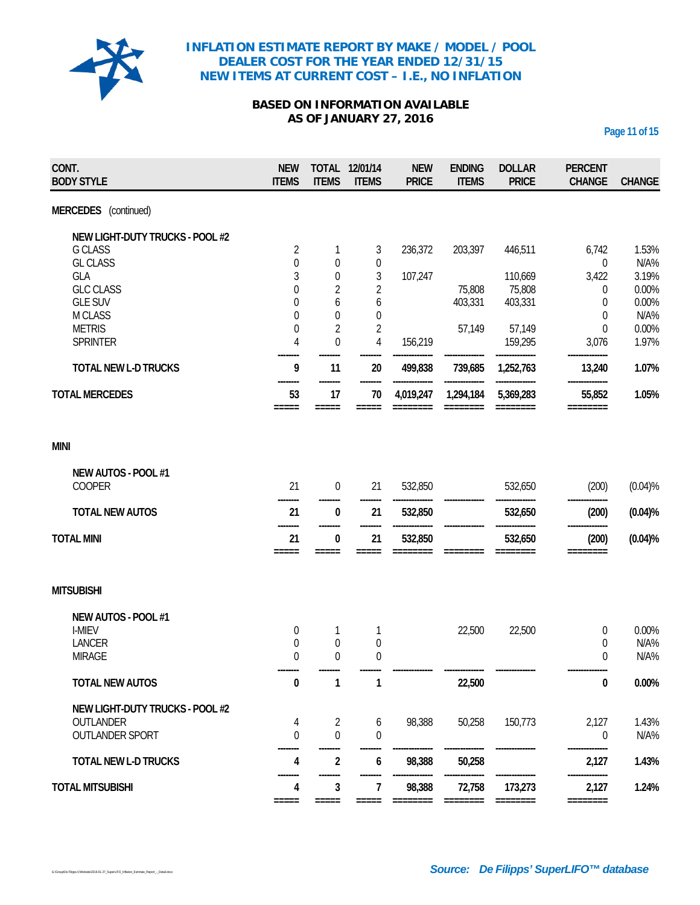

# **BASED ON INFORMATION AVAILABLE AS OF JANUARY 27, 2016**

**Page 11 of 15**

| CONT.<br><b>BODY STYLE</b>      | <b>NEW</b><br><b>ITEMS</b> | <b>ITEMS</b>     | TOTAL 12/01/14<br><b>ITEMS</b> | <b>NEW</b><br><b>PRICE</b> | <b>ENDING</b><br><b>ITEMS</b> | <b>DOLLAR</b><br><b>PRICE</b> | <b>PERCENT</b><br><b>CHANGE</b> | <b>CHANGE</b> |
|---------------------------------|----------------------------|------------------|--------------------------------|----------------------------|-------------------------------|-------------------------------|---------------------------------|---------------|
| MERCEDES (continued)            |                            |                  |                                |                            |                               |                               |                                 |               |
| NEW LIGHT-DUTY TRUCKS - POOL #2 |                            |                  |                                |                            |                               |                               |                                 |               |
| <b>G CLASS</b>                  | 2                          | 1                | 3                              | 236,372                    | 203,397                       | 446,511                       | 6,742                           | 1.53%         |
| <b>GL CLASS</b>                 | $\overline{0}$             | 0                | $\boldsymbol{0}$               |                            |                               |                               | 0                               | N/A%          |
| GLA                             | 3                          | $\boldsymbol{0}$ | $\mathfrak{Z}$                 | 107,247                    |                               | 110,669                       | 3,422                           | 3.19%         |
| <b>GLC CLASS</b>                | $\boldsymbol{0}$           | $\overline{2}$   | $\overline{2}$                 |                            | 75,808                        | 75,808                        | 0                               | 0.00%         |
| <b>GLE SUV</b>                  | 0                          | 6                | 6                              |                            | 403,331                       | 403,331                       | 0                               | 0.00%         |
| <b>MCLASS</b>                   | 0                          | $\boldsymbol{0}$ | $\boldsymbol{0}$               |                            |                               |                               | 0                               | $N/AY_0$      |
| <b>METRIS</b>                   | 0                          | $\overline{2}$   | $\overline{2}$                 |                            | 57,149                        | 57,149                        | 0                               | 0.00%         |
| <b>SPRINTER</b>                 | 4                          | 0                | 4                              | 156,219                    |                               | 159,295                       | 3,076                           | 1.97%         |
| <b>TOTAL NEW L-D TRUCKS</b>     | 9                          | 11               | 20                             | 499,838                    | 739,685                       | 1,252,763                     | 13,240                          | 1.07%         |
| <b>TOTAL MERCEDES</b>           | 53                         | 17               | 70                             | 4,019,247                  | 1,294,184                     | 5,369,283                     | 55,852                          | 1.05%         |
| <b>MINI</b>                     | $=====$                    |                  |                                |                            |                               | ========                      |                                 |               |
|                                 |                            |                  |                                |                            |                               |                               |                                 |               |
| NEW AUTOS - POOL #1             |                            |                  |                                |                            |                               |                               |                                 |               |
| <b>COOPER</b>                   | 21                         | 0                | 21                             | 532,850                    |                               | 532,650                       | (200)                           | (0.04)%       |
| <b>TOTAL NEW AUTOS</b>          | 21                         | 0                | 21                             | 532,850                    |                               | 532,650                       | (200)                           | $(0.04)$ %    |
|                                 |                            |                  |                                |                            |                               |                               |                                 |               |
| <b>TOTAL MINI</b>               | 21<br>=====                | 0                | 21                             | 532,850                    |                               | 532,650<br>========           | (200)<br>========               | (0.04)%       |
| <b>MITSUBISHI</b>               |                            |                  |                                |                            |                               |                               |                                 |               |
| NEW AUTOS - POOL #1             |                            |                  |                                |                            |                               |                               |                                 |               |
| <b>I-MIEV</b>                   | $\boldsymbol{0}$           | 1                | 1                              |                            | 22,500                        | 22,500                        | 0                               | 0.00%         |
| <b>LANCER</b>                   | 0                          | 0                | $\boldsymbol{0}$               |                            |                               |                               | 0                               | $N/A\%$       |
| <b>MIRAGE</b>                   | 0                          | 0                | $\mathbf 0$                    |                            |                               |                               | 0                               | N/A%          |
| <b>TOTAL NEW AUTOS</b>          | 0                          | 1                | 1                              |                            | 22,500                        |                               | 0                               | 0.00%         |
| NEW LIGHT-DUTY TRUCKS - POOL #2 |                            |                  |                                |                            |                               |                               |                                 |               |
| OUTLANDER                       | 4                          | 2                | 6                              | 98,388                     | 50,258                        | 150,773                       | 2,127                           | 1.43%         |
| <b>OUTLANDER SPORT</b>          | $\overline{0}$             | $\overline{0}$   | $\mathbf 0$                    |                            |                               |                               | 0                               | $N/A\%$       |
| TOTAL NEW L-D TRUCKS            | 4                          | 2                | 6                              | 98,388                     | 50,258                        |                               | 2,127                           | 1.43%         |
| <b>TOTAL MITSUBISHI</b>         | 4                          | 3                | 7                              | 98,388                     | 72,758                        | 173,273                       | 2,127                           | 1.24%         |
|                                 | =====                      | =====            |                                |                            |                               |                               | ========                        |               |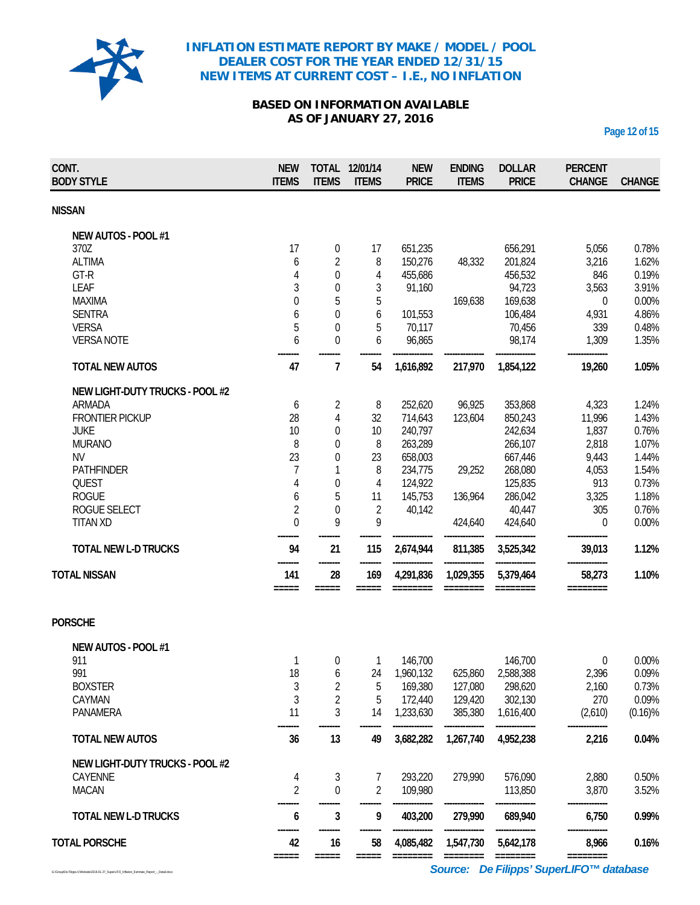

# **BASED ON INFORMATION AVAILABLE AS OF JANUARY 27, 2016**

**Page 12 of 15**

| CONT.<br><b>BODY STYLE</b>      | <b>NEW</b><br><b>ITEMS</b> | <b>ITEMS</b>     | TOTAL 12/01/14<br><b>ITEMS</b> | <b>NEW</b><br><b>PRICE</b> | <b>ENDING</b><br><b>ITEMS</b> | <b>DOLLAR</b><br><b>PRICE</b> | <b>PERCENT</b><br><b>CHANGE</b> | <b>CHANGE</b> |
|---------------------------------|----------------------------|------------------|--------------------------------|----------------------------|-------------------------------|-------------------------------|---------------------------------|---------------|
| <b>NISSAN</b>                   |                            |                  |                                |                            |                               |                               |                                 |               |
| NEW AUTOS - POOL #1             |                            |                  |                                |                            |                               |                               |                                 |               |
| 370Z                            | 17                         | 0                | 17                             | 651,235                    |                               | 656,291                       | 5,056                           | 0.78%         |
| <b>ALTIMA</b>                   | 6                          | $\overline{2}$   | 8                              | 150,276                    | 48,332                        | 201,824                       | 3,216                           | 1.62%         |
| GT-R                            | 4                          | $\boldsymbol{0}$ | 4                              | 455,686                    |                               | 456,532                       | 846                             | 0.19%         |
| LEAF                            | 3                          | $\boldsymbol{0}$ | $\sqrt{3}$                     | 91,160                     |                               | 94,723                        | 3,563                           | 3.91%         |
| <b>MAXIMA</b>                   | $\boldsymbol{0}$           | 5                | 5                              |                            | 169,638                       | 169,638                       | $\overline{0}$                  | 0.00%         |
| <b>SENTRA</b>                   | 6                          | 0                | 6                              | 101,553                    |                               | 106,484                       | 4,931                           | 4.86%         |
| <b>VERSA</b>                    | 5                          | 0                | 5                              | 70,117                     |                               | 70,456                        | 339                             | 0.48%         |
| <b>VERSA NOTE</b>               | 6                          | 0                | 6                              | 96,865                     |                               | 98,174                        | 1,309                           | 1.35%         |
| <b>TOTAL NEW AUTOS</b>          | 47                         | 7                | 54                             | 1,616,892                  | 217,970                       | 1,854,122                     | 19,260                          | 1.05%         |
| NEW LIGHT-DUTY TRUCKS - POOL #2 |                            |                  |                                |                            |                               |                               |                                 |               |
| <b>ARMADA</b>                   | 6                          | $\sqrt{2}$       | 8                              | 252,620                    | 96,925                        | 353,868                       | 4,323                           | 1.24%         |
| <b>FRONTIER PICKUP</b>          | 28                         | $\sqrt{4}$       | 32                             | 714,643                    | 123,604                       | 850,243                       | 11,996                          | 1.43%         |
| <b>JUKE</b>                     | 10                         | $\boldsymbol{0}$ | 10                             | 240,797                    |                               | 242,634                       | 1,837                           | 0.76%         |
| <b>MURANO</b>                   | 8                          | 0                | 8                              | 263,289                    |                               | 266,107                       | 2,818                           | 1.07%         |
| <b>NV</b>                       | 23                         | 0                | 23                             | 658,003                    |                               | 667,446                       | 9,443                           | 1.44%         |
| <b>PATHFINDER</b>               | 7                          | 1                | 8                              | 234,775                    | 29,252                        | 268,080                       | 4,053                           | 1.54%         |
| <b>QUEST</b>                    | $\overline{4}$             | 0                | 4                              | 124,922                    |                               | 125,835                       | 913                             | 0.73%         |
| <b>ROGUE</b>                    | 6                          | 5                | 11                             | 145,753                    | 136,964                       | 286,042                       | 3,325                           | 1.18%         |
| ROGUE SELECT                    | $\overline{2}$             | 0                | $\overline{2}$                 | 40,142                     |                               | 40,447                        | 305                             | 0.76%         |
| <b>TITAN XD</b>                 | $\mathbf{0}$               | 9                | 9                              |                            | 424,640                       | 424,640                       | $\overline{0}$                  | 0.00%         |
|                                 |                            |                  |                                |                            |                               |                               |                                 |               |
| <b>TOTAL NEW L-D TRUCKS</b>     | 94                         | 21               | 115                            | 2,674,944                  | 811,385                       | 3,525,342                     | 39,013                          | 1.12%         |
| <b>TOTAL NISSAN</b>             | 141<br>=====               | 28<br>=====      | 169<br>=====                   | 4,291,836                  | 1,029,355<br>========         | 5,379,464                     | 58,273<br>========              | 1.10%         |
| <b>PORSCHE</b>                  |                            |                  |                                |                            |                               |                               |                                 |               |
| <b>NEW AUTOS - POOL #1</b>      |                            |                  |                                |                            |                               |                               |                                 |               |
| 911                             | 1                          | $\boldsymbol{0}$ | 1                              | 146,700                    |                               | 146,700                       | $\overline{0}$                  | 0.00%         |
| 991                             | 18                         | 6                | 24                             | 1,960,132                  |                               | 625,860 2,588,388             | 2,396                           | 0.09%         |
| <b>BOXSTER</b>                  | $\sqrt{3}$                 | $\overline{2}$   | 5                              | 169,380                    | 127,080                       | 298,620                       | 2,160                           | 0.73%         |
| CAYMAN                          | 3                          | $\overline{2}$   | 5                              | 172,440                    | 129,420                       | 302,130                       | 270                             | 0.09%         |
| <b>PANAMERA</b>                 | 11                         | 3                | 14                             | 1,233,630                  | 385,380                       | 1,616,400                     | (2,610)                         | $(0.16)$ %    |
| <b>TOTAL NEW AUTOS</b>          | 36                         | 13               | 49                             | 3,682,282                  | 1,267,740                     | 4,952,238                     | 2,216                           | 0.04%         |
| NEW LIGHT-DUTY TRUCKS - POOL #2 |                            |                  |                                |                            |                               |                               |                                 |               |
| CAYENNE                         | 4                          | 3                | 7                              | 293,220                    | 279,990                       | 576,090                       | 2,880                           | 0.50%         |
| <b>MACAN</b>                    | $\overline{2}$             | $\overline{0}$   | $\overline{2}$                 | 109,980                    |                               | 113,850                       | 3,870                           | 3.52%         |
| TOTAL NEW L-D TRUCKS            | 6                          | 3                | 9                              | 403,200                    | 279,990                       | 689,940                       | 6,750                           | 0.99%         |
| <b>TOTAL PORSCHE</b>            | 42                         | 16               | 58                             | 4,085,482                  | 1,547,730                     | 5,642,178                     | 8,966                           | 0.16%         |
|                                 | =====                      | =====            | =====                          |                            | ========                      | ========                      | ========                        |               |

Grouple-Fige UNIVebsite 2016-01-27\_SuperLIFO<sup>TM</sup> database<sup>ct</sup>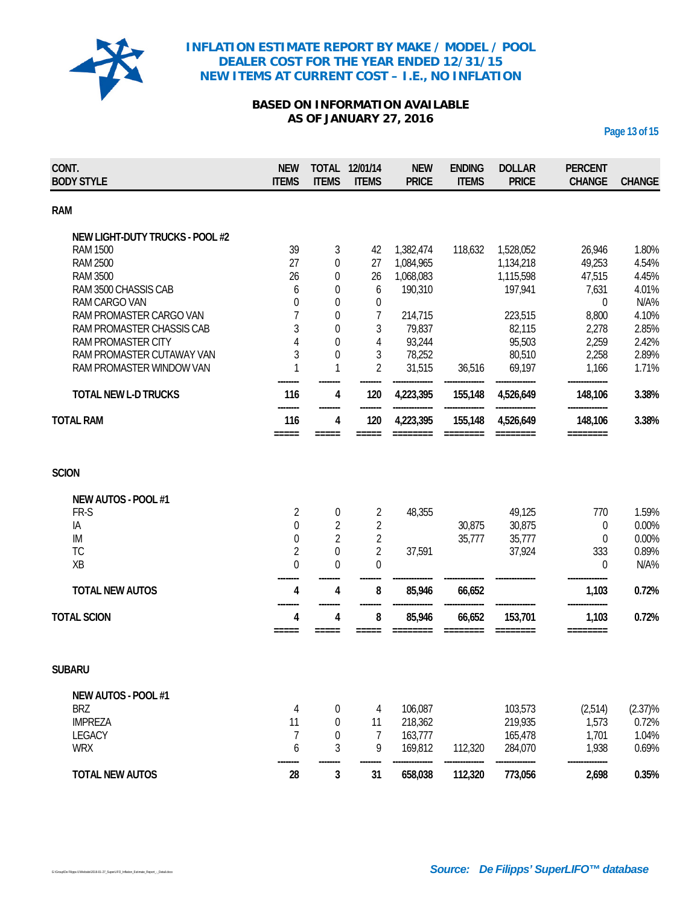

# **BASED ON INFORMATION AVAILABLE AS OF JANUARY 27, 2016**

**Page 13 of 15**

| CONT.<br><b>BODY STYLE</b>      | <b>NEW</b><br><b>ITEMS</b> | <b>ITEMS</b>     | TOTAL 12/01/14<br><b>ITEMS</b> | <b>NEW</b><br><b>PRICE</b> | <b>ENDING</b><br><b>ITEMS</b> | <b>DOLLAR</b><br><b>PRICE</b> | <b>PERCENT</b><br><b>CHANGE</b> | <b>CHANGE</b> |
|---------------------------------|----------------------------|------------------|--------------------------------|----------------------------|-------------------------------|-------------------------------|---------------------------------|---------------|
| <b>RAM</b>                      |                            |                  |                                |                            |                               |                               |                                 |               |
| NEW LIGHT-DUTY TRUCKS - POOL #2 |                            |                  |                                |                            |                               |                               |                                 |               |
| <b>RAM 1500</b>                 | 39                         | 3                | 42                             | 1,382,474                  | 118,632                       | 1,528,052                     | 26,946                          | 1.80%         |
| <b>RAM 2500</b>                 | 27                         | $\mathbf 0$      | 27                             | 1,084,965                  |                               | 1,134,218                     | 49,253                          | 4.54%         |
| <b>RAM 3500</b>                 | 26                         | $\boldsymbol{0}$ | 26                             | 1,068,083                  |                               | 1,115,598                     | 47,515                          | 4.45%         |
| RAM 3500 CHASSIS CAB            | 6                          | $\boldsymbol{0}$ | 6                              | 190,310                    |                               | 197,941                       | 7,631                           | 4.01%         |
| RAM CARGO VAN                   | $\boldsymbol{0}$           | $\mathbf 0$      | 0                              |                            |                               |                               | $\mathbf 0$                     | $N/A\%$       |
|                                 | 7                          |                  | 7                              |                            |                               |                               |                                 |               |
| RAM PROMASTER CARGO VAN         |                            | 0                |                                | 214,715                    |                               | 223,515                       | 8,800                           | 4.10%         |
| RAM PROMASTER CHASSIS CAB       | 3                          | 0                | 3                              | 79,837                     |                               | 82,115                        | 2,278                           | 2.85%         |
| RAM PROMASTER CITY              | 4                          | 0                | 4                              | 93,244                     |                               | 95,503                        | 2,259                           | 2.42%         |
| RAM PROMASTER CUTAWAY VAN       | 3                          | 0                | 3                              | 78,252                     |                               | 80,510                        | 2,258                           | 2.89%         |
| RAM PROMASTER WINDOW VAN        | 1                          | 1                | $\overline{2}$                 | 31,515                     | 36,516                        | 69,197                        | 1,166                           | 1.71%         |
| TOTAL NEW L-D TRUCKS            | 116                        | 4                | 120                            | 4,223,395                  | 155,148                       | 4,526,649                     | 148,106                         | 3.38%         |
| <b>TOTAL RAM</b>                | 116                        | 4                | 120                            | 4,223,395                  | 155,148                       | 4,526,649                     | 148,106                         | 3.38%         |
|                                 | =====                      |                  |                                |                            |                               | ========                      | ========                        |               |
| <b>SCION</b>                    |                            |                  |                                |                            |                               |                               |                                 |               |
| NEW AUTOS - POOL #1             |                            |                  |                                |                            |                               |                               |                                 |               |
| FR-S                            | 2                          | 0                | 2                              | 48,355                     |                               | 49,125                        | 770                             | 1.59%         |
| IA                              | $\theta$                   | $\overline{2}$   | 2                              |                            | 30,875                        | 30,875                        | 0                               | 0.00%         |
| IM                              | $\mathbf 0$                | $\overline{2}$   | $\overline{2}$                 |                            | 35,777                        | 35,777                        | $\overline{0}$                  | 0.00%         |
| <b>TC</b>                       | $\overline{2}$             | $\mathbf 0$      | $\overline{2}$                 | 37,591                     |                               | 37,924                        | 333                             | 0.89%         |
| XB                              | $\overline{0}$             | $\theta$         | 0                              |                            |                               |                               | $\mathbf 0$                     | $N/A\%$       |
| <b>TOTAL NEW AUTOS</b>          | 4                          | 4                | 8                              | 85,946                     | 66,652                        |                               | 1,103                           | 0.72%         |
| <b>TOTAL SCION</b>              | 4                          | 4                | 8                              | 85,946                     | 66,652                        | 153,701                       | 1,103                           | 0.72%         |
|                                 | =====                      | =====            | =====                          | ========                   | ========                      |                               | ========                        |               |
| <b>SUBARU</b>                   |                            |                  |                                |                            |                               |                               |                                 |               |
| <b>NEW AUTOS - POOL #1</b>      |                            |                  |                                |                            |                               |                               |                                 |               |
| <b>BRZ</b>                      | 4                          | 0                | 4                              | 106,087                    |                               | 103,573                       | (2,514)                         | (2.37)%       |
| <b>IMPREZA</b>                  | 11                         | $\boldsymbol{0}$ | 11                             | 218,362                    |                               | 219,935                       | 1,573                           | 0.72%         |
| <b>LEGACY</b>                   | $\overline{7}$             | $\mathbf 0$      | 7                              | 163,777                    |                               | 165,478                       | 1,701                           | 1.04%         |
| <b>WRX</b>                      | 6                          | 3                | 9                              | 169,812                    | 112,320                       | 284,070                       | 1,938                           | 0.69%         |
| <b>TOTAL NEW AUTOS</b>          | 28                         | 3                | 31                             | 658,038                    | 112,320                       | 773,056                       | 2,698                           | 0.35%         |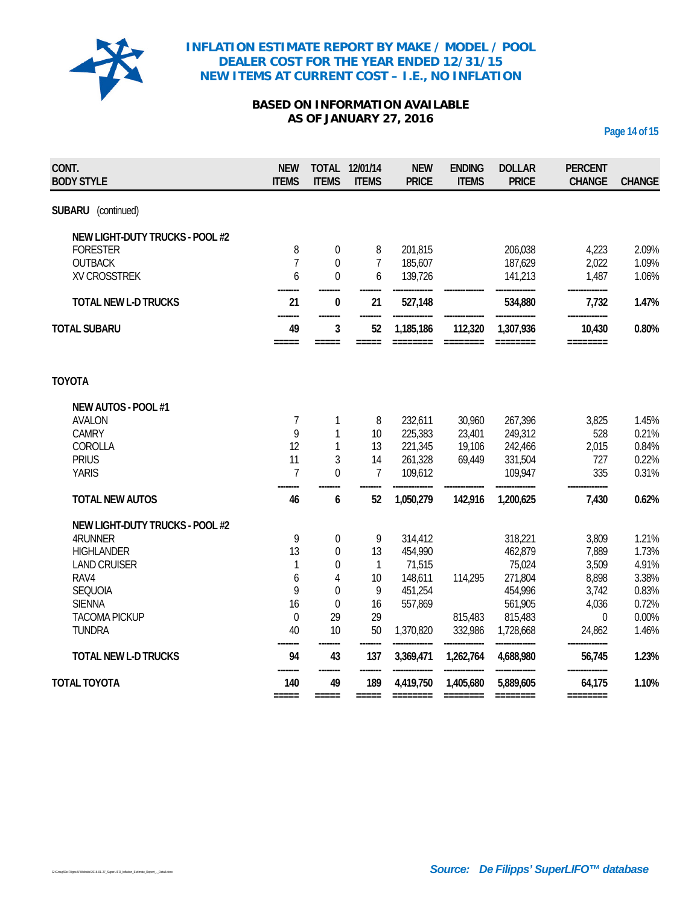

# **BASED ON INFORMATION AVAILABLE AS OF JANUARY 27, 2016**

**Page 14 of 15**

| CONT.<br><b>BODY STYLE</b>      | <b>NEW</b><br><b>ITEMS</b> | <b>ITEMS</b>   | TOTAL 12/01/14<br><b>ITEMS</b> | <b>NEW</b><br><b>PRICE</b>                                                                                                                                                                                                                                                                                                                                                                                                                                                           | <b>ENDING</b><br><b>ITEMS</b> | <b>DOLLAR</b><br><b>PRICE</b> | <b>PERCENT</b><br><b>CHANGE</b> | <b>CHANGE</b> |
|---------------------------------|----------------------------|----------------|--------------------------------|--------------------------------------------------------------------------------------------------------------------------------------------------------------------------------------------------------------------------------------------------------------------------------------------------------------------------------------------------------------------------------------------------------------------------------------------------------------------------------------|-------------------------------|-------------------------------|---------------------------------|---------------|
| SUBARU (continued)              |                            |                |                                |                                                                                                                                                                                                                                                                                                                                                                                                                                                                                      |                               |                               |                                 |               |
| NEW LIGHT-DUTY TRUCKS - POOL #2 |                            |                |                                |                                                                                                                                                                                                                                                                                                                                                                                                                                                                                      |                               |                               |                                 |               |
| <b>FORESTER</b>                 | 8                          | $\mathbf 0$    | 8                              | 201,815                                                                                                                                                                                                                                                                                                                                                                                                                                                                              |                               | 206,038                       | 4,223                           | 2.09%         |
| <b>OUTBACK</b>                  | $\overline{7}$             | $\Omega$       | $\overline{7}$                 | 185,607                                                                                                                                                                                                                                                                                                                                                                                                                                                                              |                               | 187,629                       | 2,022                           | 1.09%         |
| <b>XV CROSSTREK</b>             | 6                          | $\overline{0}$ | 6                              | 139,726                                                                                                                                                                                                                                                                                                                                                                                                                                                                              |                               | 141,213                       | 1,487                           | 1.06%         |
| <b>TOTAL NEW L-D TRUCKS</b>     | 21                         | 0              | 21                             | 527,148                                                                                                                                                                                                                                                                                                                                                                                                                                                                              |                               | 534,880                       | 7,732                           | 1.47%         |
| <b>TOTAL SUBARU</b>             | 49                         | 3              | 52                             | 1,185,186                                                                                                                                                                                                                                                                                                                                                                                                                                                                            | 112,320                       | 1,307,936                     | 10,430                          | 0.80%         |
|                                 | =====                      | =====          | =====                          | $\begin{array}{cccccc} \multicolumn{2}{c}{} & \multicolumn{2}{c}{} & \multicolumn{2}{c}{} & \multicolumn{2}{c}{} & \multicolumn{2}{c}{} & \multicolumn{2}{c}{} & \multicolumn{2}{c}{} & \multicolumn{2}{c}{} & \multicolumn{2}{c}{} & \multicolumn{2}{c}{} & \multicolumn{2}{c}{} & \multicolumn{2}{c}{} & \multicolumn{2}{c}{} & \multicolumn{2}{c}{} & \multicolumn{2}{c}{} & \multicolumn{2}{c}{} & \multicolumn{2}{c}{} & \multicolumn{2}{c}{} & \multicolumn{2}{c}{} & \multic$ | ========                      | ========                      | ========                        |               |
| <b>TOYOTA</b>                   |                            |                |                                |                                                                                                                                                                                                                                                                                                                                                                                                                                                                                      |                               |                               |                                 |               |
| NEW AUTOS - POOL #1             |                            |                |                                |                                                                                                                                                                                                                                                                                                                                                                                                                                                                                      |                               |                               |                                 |               |
| <b>AVALON</b>                   | 7                          | 1              | 8                              | 232,611                                                                                                                                                                                                                                                                                                                                                                                                                                                                              | 30,960                        | 267,396                       | 3,825                           | 1.45%         |
| <b>CAMRY</b>                    | 9                          | $\mathbf{1}$   | 10                             | 225,383                                                                                                                                                                                                                                                                                                                                                                                                                                                                              | 23,401                        | 249,312                       | 528                             | 0.21%         |
| COROLLA                         | 12                         | $\mathbf{1}$   | 13                             | 221,345                                                                                                                                                                                                                                                                                                                                                                                                                                                                              | 19,106                        | 242,466                       | 2,015                           | 0.84%         |
| <b>PRIUS</b>                    | 11                         | $\overline{3}$ | 14                             | 261,328                                                                                                                                                                                                                                                                                                                                                                                                                                                                              | 69,449                        | 331,504                       | 727                             | 0.22%         |
| <b>YARIS</b>                    | $\overline{7}$             | $\overline{0}$ | $\overline{7}$                 | 109,612                                                                                                                                                                                                                                                                                                                                                                                                                                                                              |                               | 109,947                       | 335                             | 0.31%         |
| <b>TOTAL NEW AUTOS</b>          | 46                         | 6              | 52                             | 1,050,279                                                                                                                                                                                                                                                                                                                                                                                                                                                                            | 142,916                       | 1,200,625                     | 7,430                           | 0.62%         |
| NEW LIGHT-DUTY TRUCKS - POOL #2 |                            |                |                                |                                                                                                                                                                                                                                                                                                                                                                                                                                                                                      |                               |                               |                                 |               |
| 4RUNNER                         | 9                          | 0              | 9                              | 314,412                                                                                                                                                                                                                                                                                                                                                                                                                                                                              |                               | 318,221                       | 3,809                           | 1.21%         |
| <b>HIGHLANDER</b>               | 13                         | $\mathbf{0}$   | 13                             | 454,990                                                                                                                                                                                                                                                                                                                                                                                                                                                                              |                               | 462,879                       | 7,889                           | 1.73%         |
| <b>LAND CRUISER</b>             | $\mathbf{1}$               | $\mathbf{0}$   | $\mathbf{1}$                   | 71,515                                                                                                                                                                                                                                                                                                                                                                                                                                                                               |                               | 75,024                        | 3,509                           | 4.91%         |
| RAV4                            | 6                          | $\overline{4}$ | 10                             | 148,611                                                                                                                                                                                                                                                                                                                                                                                                                                                                              | 114,295                       | 271,804                       | 8,898                           | 3.38%         |
| <b>SEQUOIA</b>                  | 9                          | $\overline{0}$ | 9                              | 451,254                                                                                                                                                                                                                                                                                                                                                                                                                                                                              |                               | 454,996                       | 3,742                           | 0.83%         |
| <b>SIENNA</b>                   | 16                         | $\mathbf 0$    | 16                             | 557,869                                                                                                                                                                                                                                                                                                                                                                                                                                                                              |                               | 561,905                       | 4,036                           | 0.72%         |
| <b>TACOMA PICKUP</b>            | $\mathbf 0$                | 29             | 29                             |                                                                                                                                                                                                                                                                                                                                                                                                                                                                                      | 815,483                       | 815,483                       | 0                               | 0.00%         |
| <b>TUNDRA</b>                   | 40                         | 10             | 50                             | 1,370,820                                                                                                                                                                                                                                                                                                                                                                                                                                                                            | 332,986                       | 1,728,668                     | 24,862                          | 1.46%         |
| <b>TOTAL NEW L-D TRUCKS</b>     | 94                         | 43             | 137                            | 3,369,471                                                                                                                                                                                                                                                                                                                                                                                                                                                                            | 1,262,764                     | 4,688,980                     | 56,745                          | 1.23%         |
| <b>TOTAL TOYOTA</b>             | 140<br>$=$ $=$ $=$ $=$ $=$ | 49<br>$=====$  | 189<br>=====                   | 4,419,750                                                                                                                                                                                                                                                                                                                                                                                                                                                                            | 1,405,680                     | 5,889,605                     | 64,175<br>========              | 1.10%         |